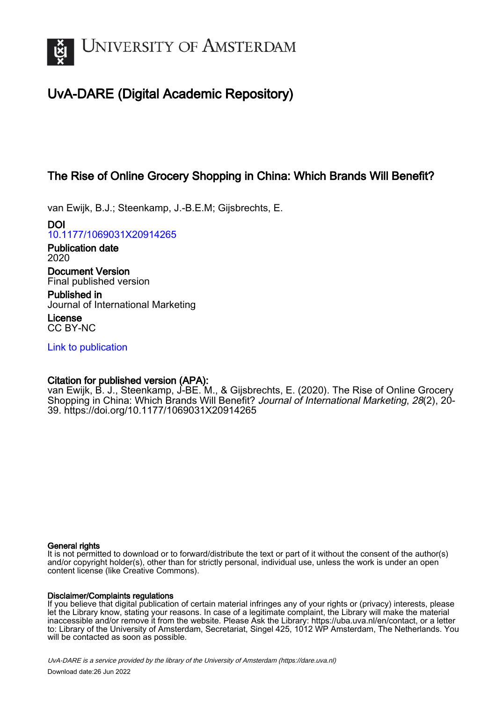

# UvA-DARE (Digital Academic Repository)

# The Rise of Online Grocery Shopping in China: Which Brands Will Benefit?

van Ewijk, B.J.; Steenkamp, J.-B.E.M; Gijsbrechts, E.

DOI [10.1177/1069031X20914265](https://doi.org/10.1177/1069031X20914265)

Publication date 2020

Document Version Final published version

Published in Journal of International Marketing

License CC BY-NC

[Link to publication](https://dare.uva.nl/personal/pure/en/publications/the-rise-of-online-grocery-shopping-in-china-which-brands-will-benefit(52d9bda7-56c8-4785-8ac4-bf8327d86aee).html)

# Citation for published version (APA):

van Ewijk, B. J., Steenkamp, J-BE. M., & Gijsbrechts, E. (2020). The Rise of Online Grocery Shopping in China: Which Brands Will Benefit? Journal of International Marketing, 28(2), 20-39. <https://doi.org/10.1177/1069031X20914265>

### General rights

It is not permitted to download or to forward/distribute the text or part of it without the consent of the author(s) and/or copyright holder(s), other than for strictly personal, individual use, unless the work is under an open content license (like Creative Commons).

### Disclaimer/Complaints regulations

If you believe that digital publication of certain material infringes any of your rights or (privacy) interests, please let the Library know, stating your reasons. In case of a legitimate complaint, the Library will make the material inaccessible and/or remove it from the website. Please Ask the Library: https://uba.uva.nl/en/contact, or a letter to: Library of the University of Amsterdam, Secretariat, Singel 425, 1012 WP Amsterdam, The Netherlands. You will be contacted as soon as possible.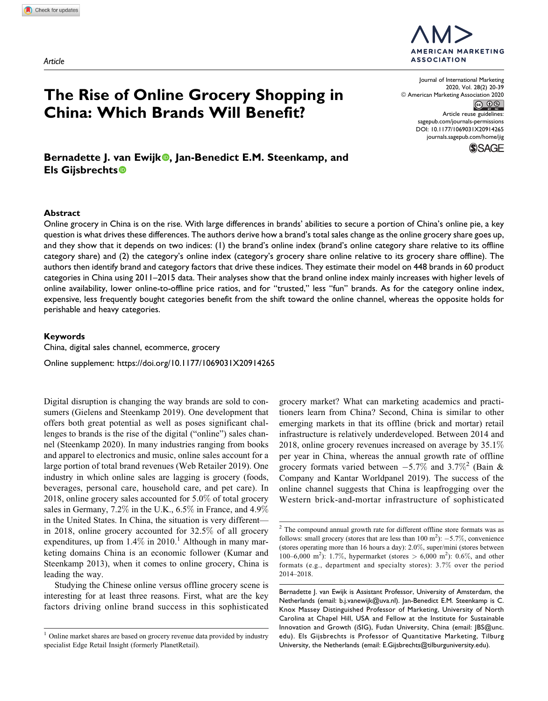

Journal of International Marketing 2020, Vol. 28(2) 20-39 © American Marketing Association 2020  $\odot$   $\odot$ Article reuse guidelines: [sagepub.com/journals-permissions](https://sagepub.com/journals-permissions) [DOI: 10.1177/1069031X20914265](https://doi.org/10.1177/1069031X20914265) [journals.sagepub.com/home/jig](http://journals.sagepub.com/home/jig)



Bernadette J. van Ewijk **D**, Jan-Benedict E.M. Steenkamp, and Els Gijsbrechts

The Rise of Online Grocery Shopping in

China: Which Brands Will Benefit?

#### Abstract

Online grocery in China is on the rise. With large differences in brands' abilities to secure a portion of China's online pie, a key question is what drives these differences. The authors derive how a brand's total sales change as the online grocery share goes up, and they show that it depends on two indices: (1) the brand's online index (brand's online category share relative to its offline category share) and (2) the category's online index (category's grocery share online relative to its grocery share offline). The authors then identify brand and category factors that drive these indices. They estimate their model on 448 brands in 60 product categories in China using 2011–2015 data. Their analyses show that the brand online index mainly increases with higher levels of online availability, lower online-to-offline price ratios, and for "trusted," less "fun" brands. As for the category online index, expensive, less frequently bought categories benefit from the shift toward the online channel, whereas the opposite holds for perishable and heavy categories.

### Keywords

China, digital sales channel, ecommerce, grocery

Online supplement:<https://doi.org/10.1177/1069031X20914265>

Digital disruption is changing the way brands are sold to consumers (Gielens and Steenkamp 2019). One development that offers both great potential as well as poses significant challenges to brands is the rise of the digital ("online") sales channel (Steenkamp 2020). In many industries ranging from books and apparel to electronics and music, online sales account for a large portion of total brand revenues (Web Retailer 2019). One industry in which online sales are lagging is grocery (foods, beverages, personal care, household care, and pet care). In 2018, online grocery sales accounted for 5.0% of total grocery sales in Germany, 7.2% in the U.K., 6.5% in France, and 4.9% in the United States. In China, the situation is very different in 2018, online grocery accounted for 32.5% of all grocery expenditures, up from  $1.4\%$  in 2010.<sup>1</sup> Although in many marketing domains China is an economic follower (Kumar and Steenkamp 2013), when it comes to online grocery, China is leading the way.

Studying the Chinese online versus offline grocery scene is interesting for at least three reasons. First, what are the key factors driving online brand success in this sophisticated

grocery market? What can marketing academics and practitioners learn from China? Second, China is similar to other emerging markets in that its offline (brick and mortar) retail infrastructure is relatively underdeveloped. Between 2014 and 2018, online grocery revenues increased on average by 35.1% per year in China, whereas the annual growth rate of offline grocery formats varied between  $-5.7\%$  and  $3.7\%$ <sup>2</sup> (Bain & Company and Kantar Worldpanel 2019). The success of the online channel suggests that China is leapfrogging over the Western brick-and-mortar infrastructure of sophisticated

<sup>&</sup>lt;sup>1</sup> Online market shares are based on grocery revenue data provided by industry specialist Edge Retail Insight (formerly PlanetRetail).

 $2$  The compound annual growth rate for different offline store formats was as follows: small grocery (stores that are less than  $100 \text{ m}^2$ ):  $-5.7\%$ , convenience (stores operating more than 16 hours a day): 2.0%, super/mini (stores between 100–6,000 m<sup>2</sup>): 1.7%, hypermarket (stores  $> 6,000$  m<sup>2</sup>): 0.6%, and other formats (e.g., department and specialty stores): 3.7% over the period 2014–2018.

Bernadette J. van Ewijk is Assistant Professor, University of Amsterdam, the Netherlands (email: [b.j.vanewijk@uva.nl](mailto:b.j.vanewijk@uva.nl)). Jan-Benedict E.M. Steenkamp is C. Knox Massey Distinguished Professor of Marketing, University of North Carolina at Chapel Hill, USA and Fellow at the Institute for Sustainable Innovation and Growth (iSIG), Fudan University, China (email: [JBS@unc.](mailto:JBS@unc.edu) [edu\)](mailto:JBS@unc.edu). Els Gijsbrechts is Professor of Quantitative Marketing, Tilburg University, the Netherlands (email: [E.Gijsbrechts@tilburguniversity.edu](mailto:E.Gijsbrechts@tilburguniversity.edu)).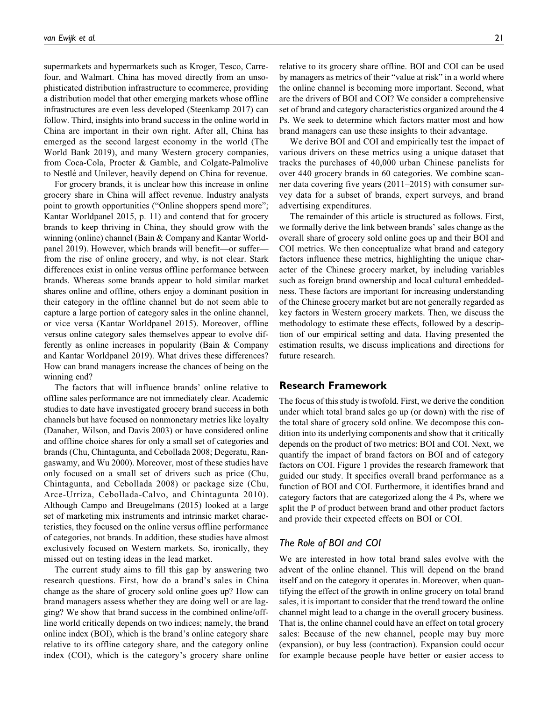supermarkets and hypermarkets such as Kroger, Tesco, Carrefour, and Walmart. China has moved directly from an unsophisticated distribution infrastructure to ecommerce, providing a distribution model that other emerging markets whose offline infrastructures are even less developed (Steenkamp 2017) can follow. Third, insights into brand success in the online world in China are important in their own right. After all, China has emerged as the second largest economy in the world (The World Bank 2019), and many Western grocery companies, from Coca-Cola, Procter & Gamble, and Colgate-Palmolive to Nestlé and Unilever, heavily depend on China for revenue.

For grocery brands, it is unclear how this increase in online grocery share in China will affect revenue. Industry analysts point to growth opportunities ("Online shoppers spend more"; Kantar Worldpanel 2015, p. 11) and contend that for grocery brands to keep thriving in China, they should grow with the winning (online) channel (Bain & Company and Kantar Worldpanel 2019). However, which brands will benefit—or suffer from the rise of online grocery, and why, is not clear. Stark differences exist in online versus offline performance between brands. Whereas some brands appear to hold similar market shares online and offline, others enjoy a dominant position in their category in the offline channel but do not seem able to capture a large portion of category sales in the online channel, or vice versa (Kantar Worldpanel 2015). Moreover, offline versus online category sales themselves appear to evolve differently as online increases in popularity (Bain & Company and Kantar Worldpanel 2019). What drives these differences? How can brand managers increase the chances of being on the winning end?

The factors that will influence brands' online relative to offline sales performance are not immediately clear. Academic studies to date have investigated grocery brand success in both channels but have focused on nonmonetary metrics like loyalty (Danaher, Wilson, and Davis 2003) or have considered online and offline choice shares for only a small set of categories and brands (Chu, Chintagunta, and Cebollada 2008; Degeratu, Rangaswamy, and Wu 2000). Moreover, most of these studies have only focused on a small set of drivers such as price (Chu, Chintagunta, and Cebollada 2008) or package size (Chu, Arce-Urriza, Cebollada-Calvo, and Chintagunta 2010). Although Campo and Breugelmans (2015) looked at a large set of marketing mix instruments and intrinsic market characteristics, they focused on the online versus offline performance of categories, not brands. In addition, these studies have almost exclusively focused on Western markets. So, ironically, they missed out on testing ideas in the lead market.

The current study aims to fill this gap by answering two research questions. First, how do a brand's sales in China change as the share of grocery sold online goes up? How can brand managers assess whether they are doing well or are lagging? We show that brand success in the combined online/offline world critically depends on two indices; namely, the brand online index (BOI), which is the brand's online category share relative to its offline category share, and the category online index (COI), which is the category's grocery share online relative to its grocery share offline. BOI and COI can be used by managers as metrics of their "value at risk" in a world where the online channel is becoming more important. Second, what are the drivers of BOI and COI? We consider a comprehensive set of brand and category characteristics organized around the 4 Ps. We seek to determine which factors matter most and how brand managers can use these insights to their advantage.

We derive BOI and COI and empirically test the impact of various drivers on these metrics using a unique dataset that tracks the purchases of 40,000 urban Chinese panelists for over 440 grocery brands in 60 categories. We combine scanner data covering five years (2011–2015) with consumer survey data for a subset of brands, expert surveys, and brand advertising expenditures.

The remainder of this article is structured as follows. First, we formally derive the link between brands' sales change as the overall share of grocery sold online goes up and their BOI and COI metrics. We then conceptualize what brand and category factors influence these metrics, highlighting the unique character of the Chinese grocery market, by including variables such as foreign brand ownership and local cultural embeddedness. These factors are important for increasing understanding of the Chinese grocery market but are not generally regarded as key factors in Western grocery markets. Then, we discuss the methodology to estimate these effects, followed by a description of our empirical setting and data. Having presented the estimation results, we discuss implications and directions for future research.

### Research Framework

The focus of this study is twofold. First, we derive the condition under which total brand sales go up (or down) with the rise of the total share of grocery sold online. We decompose this condition into its underlying components and show that it critically depends on the product of two metrics: BOI and COI. Next, we quantify the impact of brand factors on BOI and of category factors on COI. Figure 1 provides the research framework that guided our study. It specifies overall brand performance as a function of BOI and COI. Furthermore, it identifies brand and category factors that are categorized along the 4 Ps, where we split the P of product between brand and other product factors and provide their expected effects on BOI or COI.

### The Role of BOI and COI

We are interested in how total brand sales evolve with the advent of the online channel. This will depend on the brand itself and on the category it operates in. Moreover, when quantifying the effect of the growth in online grocery on total brand sales, it is important to consider that the trend toward the online channel might lead to a change in the overall grocery business. That is, the online channel could have an effect on total grocery sales: Because of the new channel, people may buy more (expansion), or buy less (contraction). Expansion could occur for example because people have better or easier access to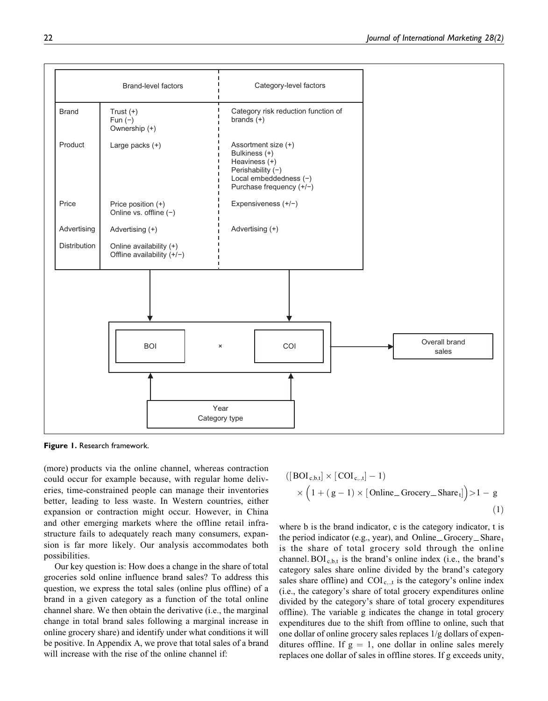

Figure 1. Research framework.

(more) products via the online channel, whereas contraction could occur for example because, with regular home deliveries, time-constrained people can manage their inventories better, leading to less waste. In Western countries, either expansion or contraction might occur. However, in China and other emerging markets where the offline retail infrastructure fails to adequately reach many consumers, expansion is far more likely. Our analysis accommodates both possibilities.

Our key question is: How does a change in the share of total groceries sold online influence brand sales? To address this question, we express the total sales (online plus offline) of a brand in a given category as a function of the total online channel share. We then obtain the derivative (i.e., the marginal change in total brand sales following a marginal increase in online grocery share) and identify under what conditions it will be positive. In Appendix A, we prove that total sales of a brand will increase with the rise of the online channel if:

$$
\begin{aligned}\n\left( [\text{BOL}_{c,b,t}] \times [\text{COI}_{c,,t}] - 1 \right) \\
&\times \left( 1 + (g - 1) \times [\text{Online\_Grocery\_Share}_t] \right) > 1 - g \\
\end{aligned} \tag{1}
$$

where b is the brand indicator, c is the category indicator, t is the period indicator (e.g., year), and Online Grocery Share, is the share of total grocery sold through the online channel. BOI $_{c,b,t}$  is the brand's online index (i.e., the brand's category sales share online divided by the brand's category sales share offline) and  $COI_{c...t}$  is the category's online index (i.e., the category's share of total grocery expenditures online divided by the category's share of total grocery expenditures offline). The variable g indicates the change in total grocery expenditures due to the shift from offline to online, such that one dollar of online grocery sales replaces 1/g dollars of expenditures offline. If  $g = 1$ , one dollar in online sales merely replaces one dollar of sales in offline stores. If g exceeds unity,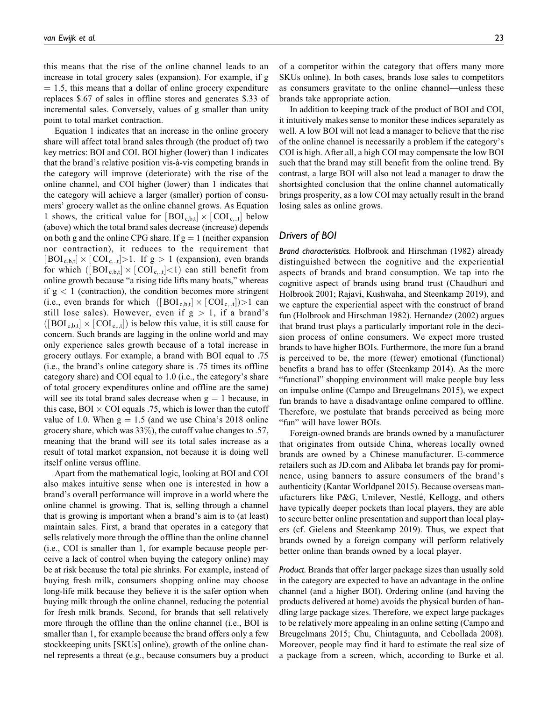this means that the rise of the online channel leads to an increase in total grocery sales (expansion). For example, if g  $= 1.5$ , this means that a dollar of online grocery expenditure replaces \$.67 of sales in offline stores and generates \$.33 of incremental sales. Conversely, values of g smaller than unity point to total market contraction.

Equation 1 indicates that an increase in the online grocery share will affect total brand sales through (the product of) two key metrics: BOI and COI. BOI higher (lower) than 1 indicates that the brand's relative position vis-à-vis competing brands in the category will improve (deteriorate) with the rise of the online channel, and COI higher (lower) than 1 indicates that the category will achieve a larger (smaller) portion of consumers' grocery wallet as the online channel grows. As Equation 1 shows, the critical value for  $[BOI_{c,b,t}] \times [COI_{c,1}]$  below (above) which the total brand sales decrease (increase) depends on both g and the online CPG share. If  $g = 1$  (neither expansion nor contraction), it reduces to the requirement that  $[BOI_{c,b,t}] \times [COI_{c,,t}] > 1$ . If  $g > 1$  (expansion), even brands for which  $(\text{BOL}_{c,b,t}]\times[\text{COI}_{c,t}]<1$  can still benefit from online growth because "a rising tide lifts many boats," whereas if  $g < 1$  (contraction), the condition becomes more stringent (i.e., even brands for which  $([BOI_{c,b,t}]\times [COI_{c, t}])>1$  can still lose sales). However, even if  $g > 1$ , if a brand's  $(\text{BOL}_{c,b,t} \times \text{[COI}_{c,nt}])$  is below this value, it is still cause for concern. Such brands are lagging in the online world and may only experience sales growth because of a total increase in grocery outlays. For example, a brand with BOI equal to .75 (i.e., the brand's online category share is .75 times its offline category share) and COI equal to 1.0 (i.e., the category's share of total grocery expenditures online and offline are the same) will see its total brand sales decrease when  $g = 1$  because, in this case,  $BOL \times COI$  equals .75, which is lower than the cutoff value of 1.0. When  $g = 1.5$  (and we use China's 2018 online grocery share, which was 33%), the cutoff value changes to .57, meaning that the brand will see its total sales increase as a result of total market expansion, not because it is doing well itself online versus offline.

Apart from the mathematical logic, looking at BOI and COI also makes intuitive sense when one is interested in how a brand's overall performance will improve in a world where the online channel is growing. That is, selling through a channel that is growing is important when a brand's aim is to (at least) maintain sales. First, a brand that operates in a category that sells relatively more through the offline than the online channel (i.e., COI is smaller than 1, for example because people perceive a lack of control when buying the category online) may be at risk because the total pie shrinks. For example, instead of buying fresh milk, consumers shopping online may choose long-life milk because they believe it is the safer option when buying milk through the online channel, reducing the potential for fresh milk brands. Second, for brands that sell relatively more through the offline than the online channel (i.e., BOI is smaller than 1, for example because the brand offers only a few stockkeeping units [SKUs] online), growth of the online channel represents a threat (e.g., because consumers buy a product

of a competitor within the category that offers many more SKUs online). In both cases, brands lose sales to competitors as consumers gravitate to the online channel—unless these brands take appropriate action.

In addition to keeping track of the product of BOI and COI, it intuitively makes sense to monitor these indices separately as well. A low BOI will not lead a manager to believe that the rise of the online channel is necessarily a problem if the category's COI is high. After all, a high COI may compensate the low BOI such that the brand may still benefit from the online trend. By contrast, a large BOI will also not lead a manager to draw the shortsighted conclusion that the online channel automatically brings prosperity, as a low COI may actually result in the brand losing sales as online grows.

### Drivers of BOI

Brand characteristics. Holbrook and Hirschman (1982) already distinguished between the cognitive and the experiential aspects of brands and brand consumption. We tap into the cognitive aspect of brands using brand trust (Chaudhuri and Holbrook 2001; Rajavi, Kushwaha, and Steenkamp 2019), and we capture the experiential aspect with the construct of brand fun (Holbrook and Hirschman 1982). Hernandez (2002) argues that brand trust plays a particularly important role in the decision process of online consumers. We expect more trusted brands to have higher BOIs. Furthermore, the more fun a brand is perceived to be, the more (fewer) emotional (functional) benefits a brand has to offer (Steenkamp 2014). As the more "functional" shopping environment will make people buy less on impulse online (Campo and Breugelmans 2015), we expect fun brands to have a disadvantage online compared to offline. Therefore, we postulate that brands perceived as being more "fun" will have lower BOIs.

Foreign-owned brands are brands owned by a manufacturer that originates from outside China, whereas locally owned brands are owned by a Chinese manufacturer. E-commerce retailers such as JD.com and Alibaba let brands pay for prominence, using banners to assure consumers of the brand's authenticity (Kantar Worldpanel 2015). Because overseas manufacturers like  $P\&G$ , Unilever, Nestlé, Kellogg, and others have typically deeper pockets than local players, they are able to secure better online presentation and support than local players (cf. Gielens and Steenkamp 2019). Thus, we expect that brands owned by a foreign company will perform relatively better online than brands owned by a local player.

Product. Brands that offer larger package sizes than usually sold in the category are expected to have an advantage in the online channel (and a higher BOI). Ordering online (and having the products delivered at home) avoids the physical burden of handling large package sizes. Therefore, we expect large packages to be relatively more appealing in an online setting (Campo and Breugelmans 2015; Chu, Chintagunta, and Cebollada 2008). Moreover, people may find it hard to estimate the real size of a package from a screen, which, according to Burke et al.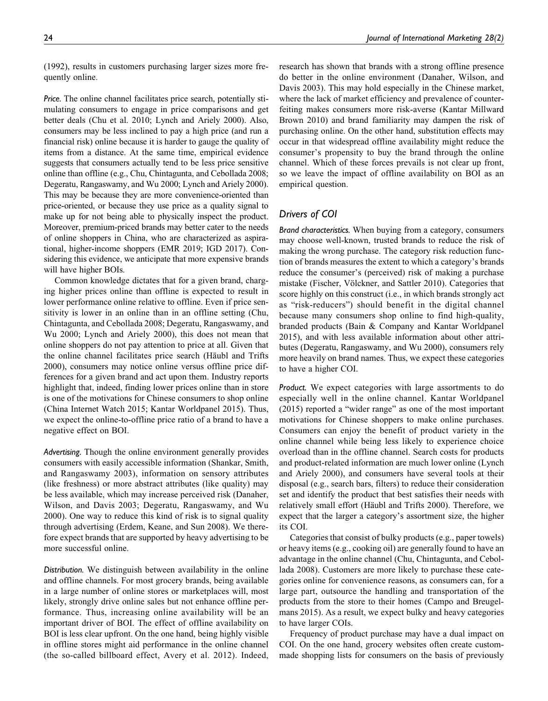(1992), results in customers purchasing larger sizes more frequently online.

Price. The online channel facilitates price search, potentially stimulating consumers to engage in price comparisons and get better deals (Chu et al. 2010; Lynch and Ariely 2000). Also, consumers may be less inclined to pay a high price (and run a financial risk) online because it is harder to gauge the quality of items from a distance. At the same time, empirical evidence suggests that consumers actually tend to be less price sensitive online than offline (e.g., Chu, Chintagunta, and Cebollada 2008; Degeratu, Rangaswamy, and Wu 2000; Lynch and Ariely 2000). This may be because they are more convenience-oriented than price-oriented, or because they use price as a quality signal to make up for not being able to physically inspect the product. Moreover, premium-priced brands may better cater to the needs of online shoppers in China, who are characterized as aspirational, higher-income shoppers (EMR 2019; IGD 2017). Considering this evidence, we anticipate that more expensive brands will have higher BOIs.

Common knowledge dictates that for a given brand, charging higher prices online than offline is expected to result in lower performance online relative to offline. Even if price sensitivity is lower in an online than in an offline setting (Chu, Chintagunta, and Cebollada 2008; Degeratu, Rangaswamy, and Wu 2000; Lynch and Ariely 2000), this does not mean that online shoppers do not pay attention to price at all. Given that the online channel facilitates price search (Häubl and Trifts 2000), consumers may notice online versus offline price differences for a given brand and act upon them. Industry reports highlight that, indeed, finding lower prices online than in store is one of the motivations for Chinese consumers to shop online (China Internet Watch 2015; Kantar Worldpanel 2015). Thus, we expect the online-to-offline price ratio of a brand to have a negative effect on BOI.

Advertising. Though the online environment generally provides consumers with easily accessible information (Shankar, Smith, and Rangaswamy 2003), information on sensory attributes (like freshness) or more abstract attributes (like quality) may be less available, which may increase perceived risk (Danaher, Wilson, and Davis 2003; Degeratu, Rangaswamy, and Wu 2000). One way to reduce this kind of risk is to signal quality through advertising (Erdem, Keane, and Sun 2008). We therefore expect brands that are supported by heavy advertising to be more successful online.

Distribution. We distinguish between availability in the online and offline channels. For most grocery brands, being available in a large number of online stores or marketplaces will, most likely, strongly drive online sales but not enhance offline performance. Thus, increasing online availability will be an important driver of BOI. The effect of offline availability on BOI is less clear upfront. On the one hand, being highly visible in offline stores might aid performance in the online channel (the so-called billboard effect, Avery et al. 2012). Indeed, research has shown that brands with a strong offline presence do better in the online environment (Danaher, Wilson, and Davis 2003). This may hold especially in the Chinese market, where the lack of market efficiency and prevalence of counterfeiting makes consumers more risk-averse (Kantar Millward Brown 2010) and brand familiarity may dampen the risk of purchasing online. On the other hand, substitution effects may occur in that widespread offline availability might reduce the consumer's propensity to buy the brand through the online channel. Which of these forces prevails is not clear up front, so we leave the impact of offline availability on BOI as an empirical question.

# Drivers of COI

Brand characteristics. When buying from a category, consumers may choose well-known, trusted brands to reduce the risk of making the wrong purchase. The category risk reduction function of brands measures the extent to which a category's brands reduce the consumer's (perceived) risk of making a purchase mistake (Fischer, Völckner, and Sattler 2010). Categories that score highly on this construct (i.e., in which brands strongly act as "risk-reducers") should benefit in the digital channel because many consumers shop online to find high-quality, branded products (Bain & Company and Kantar Worldpanel 2015), and with less available information about other attributes (Degeratu, Rangaswamy, and Wu 2000), consumers rely more heavily on brand names. Thus, we expect these categories to have a higher COI.

Product. We expect categories with large assortments to do especially well in the online channel. Kantar Worldpanel (2015) reported a "wider range" as one of the most important motivations for Chinese shoppers to make online purchases. Consumers can enjoy the benefit of product variety in the online channel while being less likely to experience choice overload than in the offline channel. Search costs for products and product-related information are much lower online (Lynch and Ariely 2000), and consumers have several tools at their disposal (e.g., search bars, filters) to reduce their consideration set and identify the product that best satisfies their needs with relatively small effort (Häubl and Trifts 2000). Therefore, we expect that the larger a category's assortment size, the higher its COI.

Categories that consist of bulky products (e.g., paper towels) or heavy items (e.g., cooking oil) are generally found to have an advantage in the online channel (Chu, Chintagunta, and Cebollada 2008). Customers are more likely to purchase these categories online for convenience reasons, as consumers can, for a large part, outsource the handling and transportation of the products from the store to their homes (Campo and Breugelmans 2015). As a result, we expect bulky and heavy categories to have larger COIs.

Frequency of product purchase may have a dual impact on COI. On the one hand, grocery websites often create custommade shopping lists for consumers on the basis of previously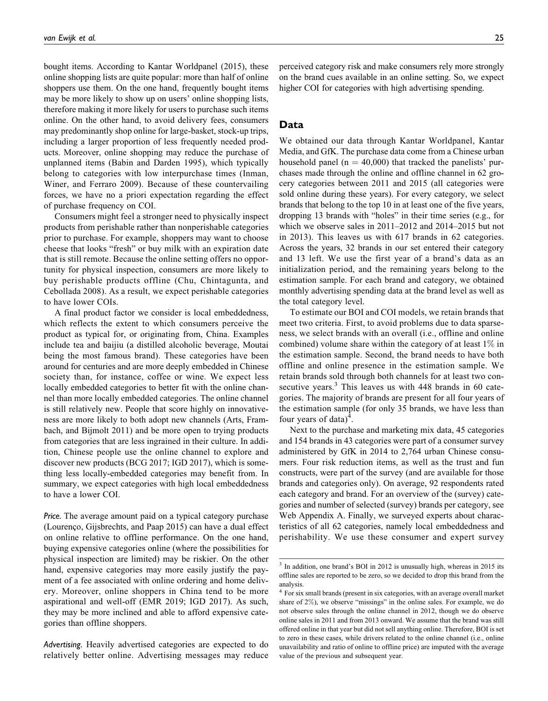bought items. According to Kantar Worldpanel (2015), these online shopping lists are quite popular: more than half of online shoppers use them. On the one hand, frequently bought items may be more likely to show up on users' online shopping lists, therefore making it more likely for users to purchase such items online. On the other hand, to avoid delivery fees, consumers may predominantly shop online for large-basket, stock-up trips, including a larger proportion of less frequently needed products. Moreover, online shopping may reduce the purchase of unplanned items (Babin and Darden 1995), which typically belong to categories with low interpurchase times (Inman, Winer, and Ferraro 2009). Because of these countervailing forces, we have no a priori expectation regarding the effect of purchase frequency on COI.

Consumers might feel a stronger need to physically inspect products from perishable rather than nonperishable categories prior to purchase. For example, shoppers may want to choose cheese that looks "fresh" or buy milk with an expiration date that is still remote. Because the online setting offers no opportunity for physical inspection, consumers are more likely to buy perishable products offline (Chu, Chintagunta, and Cebollada 2008). As a result, we expect perishable categories to have lower COIs.

A final product factor we consider is local embeddedness, which reflects the extent to which consumers perceive the product as typical for, or originating from, China. Examples include tea and baijiu (a distilled alcoholic beverage, Moutai being the most famous brand). These categories have been around for centuries and are more deeply embedded in Chinese society than, for instance, coffee or wine. We expect less locally embedded categories to better fit with the online channel than more locally embedded categories. The online channel is still relatively new. People that score highly on innovativeness are more likely to both adopt new channels (Arts, Frambach, and Bijmolt 2011) and be more open to trying products from categories that are less ingrained in their culture. In addition, Chinese people use the online channel to explore and discover new products (BCG 2017; IGD 2017), which is something less locally-embedded categories may benefit from. In summary, we expect categories with high local embeddedness to have a lower COI.

Price. The average amount paid on a typical category purchase (Lourenço, Gijsbrechts, and Paap 2015) can have a dual effect on online relative to offline performance. On the one hand, buying expensive categories online (where the possibilities for physical inspection are limited) may be riskier. On the other hand, expensive categories may more easily justify the payment of a fee associated with online ordering and home delivery. Moreover, online shoppers in China tend to be more aspirational and well-off (EMR 2019; IGD 2017). As such, they may be more inclined and able to afford expensive categories than offline shoppers.

Advertising. Heavily advertised categories are expected to do relatively better online. Advertising messages may reduce

# Data

We obtained our data through Kantar Worldpanel, Kantar Media, and GfK. The purchase data come from a Chinese urban household panel ( $n = 40,000$ ) that tracked the panelists' purchases made through the online and offline channel in 62 grocery categories between 2011 and 2015 (all categories were sold online during these years). For every category, we select brands that belong to the top 10 in at least one of the five years, dropping 13 brands with "holes" in their time series (e.g., for which we observe sales in 2011–2012 and 2014–2015 but not in 2013). This leaves us with 617 brands in 62 categories. Across the years, 32 brands in our set entered their category and 13 left. We use the first year of a brand's data as an initialization period, and the remaining years belong to the estimation sample. For each brand and category, we obtained monthly advertising spending data at the brand level as well as the total category level.

To estimate our BOI and COI models, we retain brands that meet two criteria. First, to avoid problems due to data sparseness, we select brands with an overall (i.e., offline and online combined) volume share within the category of at least  $1\%$  in the estimation sample. Second, the brand needs to have both offline and online presence in the estimation sample. We retain brands sold through both channels for at least two consecutive years.<sup>3</sup> This leaves us with 448 brands in 60 categories. The majority of brands are present for all four years of the estimation sample (for only 35 brands, we have less than four years of data) $\hat{4}$ .

Next to the purchase and marketing mix data, 45 categories and 154 brands in 43 categories were part of a consumer survey administered by GfK in 2014 to 2,764 urban Chinese consumers. Four risk reduction items, as well as the trust and fun constructs, were part of the survey (and are available for those brands and categories only). On average, 92 respondents rated each category and brand. For an overview of the (survey) categories and number of selected (survey) brands per category, see Web Appendix A. Finally, we surveyed experts about characteristics of all 62 categories, namely local embeddedness and perishability. We use these consumer and expert survey

<sup>&</sup>lt;sup>3</sup> In addition, one brand's BOI in 2012 is unusually high, whereas in 2015 its offline sales are reported to be zero, so we decided to drop this brand from the analysis.

<sup>4</sup> For six small brands (present in six categories, with an average overall market share of 2%), we observe "missings" in the online sales. For example, we do not observe sales through the online channel in 2012, though we do observe online sales in 2011 and from 2013 onward. We assume that the brand was still offered online in that year but did not sell anything online. Therefore, BOI is set to zero in these cases, while drivers related to the online channel (i.e., online unavailability and ratio of online to offline price) are imputed with the average value of the previous and subsequent year.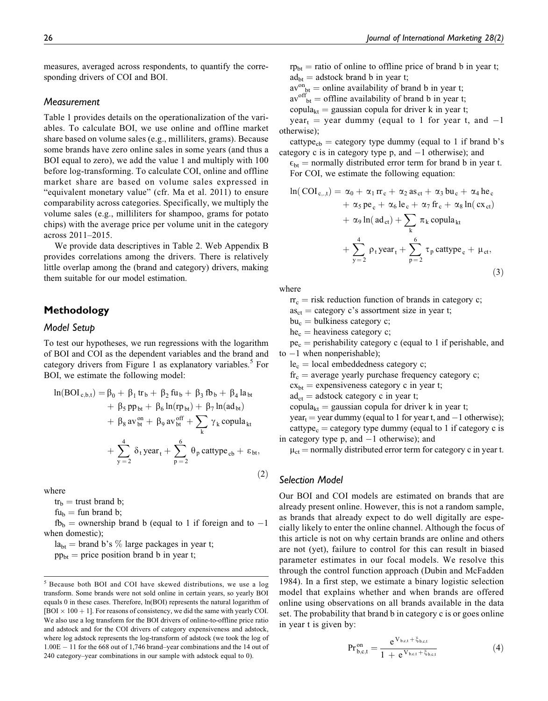measures, averaged across respondents, to quantify the corresponding drivers of COI and BOI.

### Measurement

Table 1 provides details on the operationalization of the variables. To calculate BOI, we use online and offline market share based on volume sales (e.g., milliliters, grams). Because some brands have zero online sales in some years (and thus a BOI equal to zero), we add the value 1 and multiply with 100 before log-transforming. To calculate COI, online and offline market share are based on volume sales expressed in "equivalent monetary value" (cfr. Ma et al. 2011) to ensure comparability across categories. Specifically, we multiply the volume sales (e.g., milliliters for shampoo, grams for potato chips) with the average price per volume unit in the category across 2011–2015.

We provide data descriptives in Table 2. Web Appendix B provides correlations among the drivers. There is relatively little overlap among the (brand and category) drivers, making them suitable for our model estimation.

## Methodology

### Model Setup

To test our hypotheses, we run regressions with the logarithm of BOI and COI as the dependent variables and the brand and category drivers from Figure 1 as explanatory variables.<sup>5</sup> For BOI, we estimate the following model:

$$
\ln(BOI_{c,b,t}) = \beta_0 + \beta_1 \text{ tr}_b + \beta_2 \text{ fu}_b + \beta_3 \text{ fb}_b + \beta_4 \text{ la}_{bt} + \beta_5 \text{ pp}_{bt} + \beta_6 \ln(\text{rp}_{bt}) + \beta_7 \ln(\text{ad}_{bt}) + \beta_8 \text{ av}_{bt}^{\text{on}} + \beta_9 \text{ av}_{bt}^{\text{off}} + \sum_k \gamma_k \text{ copula}_{kt} + \sum_{y=2}^4 \delta_t \text{ year}_t + \sum_{p=2}^6 \theta_p \text{ cattype}_{cb} + \epsilon_{bt},
$$
\n(2)

where

 $tr_{b}$  = trust brand b;

 $fu<sub>b</sub> =$  fun brand b;

 $fb_b$  = ownership brand b (equal to 1 if foreign and to  $-1$ when domestic);

 $l_{\text{a}_{\text{bt}}}$  = brand b's % large packages in year t;

 $pp_{bt}$  = price position brand b in year t;

 $rp_{bt}$  = ratio of online to offline price of brand b in year t;  $ad_{bt} = adstock \, brand \, b \, in \, year \, t;$ 

 $av_{\text{bt}}^{\text{on}} =$  online availability of brand b in year t;

 $av<sup>off</sup>_{bt} =$  offline availability of brand b in year t;

copula<sub>kt</sub> = gaussian copula for driver k in year t;

 $year<sub>t</sub>$  = year dummy (equal to 1 for year t, and  $-1$ otherwise);

cattype<sub>cb</sub> = category type dummy (equal to 1 if brand b's category  $c$  is in category type  $p$ , and  $-1$  otherwise); and

 $\epsilon_{\rm bt}$  = normally distributed error term for brand b in year t. For COI, we estimate the following equation:

$$
\ln(COI_{c,,t}) = \alpha_0 + \alpha_1 rr_c + \alpha_2 as_{ct} + \alpha_3 bu_c + \alpha_4 he_c \n+ \alpha_5 pe_c + \alpha_6 le_c + \alpha_7 fr_c + \alpha_8 ln(cx_{ct}) \n+ \alpha_9 ln(ad_{ct}) + \sum_{k} \pi_k copula_{kt} \n+ \sum_{y=2}^{4} \rho_t year_t + \sum_{p=2}^{6} \tau_p cattype_c + \mu_{ct},
$$
\n(3)

where

 $rr_c$  = risk reduction function of brands in category c;

 $as_{ct} = category c's$  assortment size in year t;

 $bu_c = \text{bulkiness category c};$ 

 $he_c$  = heaviness category c;

 $pe_c$  = perishability category c (equal to 1 if perishable, and to -1 when nonperishable);

 $le<sub>c</sub> = local embeddedu$ ess category c;

 $fr_c$  = average yearly purchase frequency category c;

 $cx_{bt}$  = expensiveness category c in year t;

 $ad_{ct}$  = adstock category c in year t;

copula<sub>kt</sub> = gaussian copula for driver k in year t;

 $year<sub>t</sub> = year dummy (equal to 1 for year t, and  $-1$  otherwise);$ cattype<sub>c</sub> = category type dummy (equal to 1 if category c is in category type  $p$ , and  $-1$  otherwise); and

 $\mu_{\rm ct}$  = normally distributed error term for category c in year t.

### Selection Model

Our BOI and COI models are estimated on brands that are already present online. However, this is not a random sample, as brands that already expect to do well digitally are especially likely to enter the online channel. Although the focus of this article is not on why certain brands are online and others are not (yet), failure to control for this can result in biased parameter estimates in our focal models. We resolve this through the control function approach (Dubin and McFadden 1984). In a first step, we estimate a binary logistic selection model that explains whether and when brands are offered online using observations on all brands available in the data set. The probability that brand b in category c is or goes online in year t is given by:

$$
\Pr_{b,c,t}^{\text{on}} = \frac{e^{V_{b,c,t} + \xi_{b,c,t}}}{1 + e^{V_{b,c,t} + \xi_{b,c,t}}} \tag{4}
$$

<sup>5</sup> Because both BOI and COI have skewed distributions, we use a log transform. Some brands were not sold online in certain years, so yearly BOI equals 0 in these cases. Therefore, ln(BOI) represents the natural logarithm of  $[BOI \times 100 + 1]$ . For reasons of consistency, we did the same with yearly COI. We also use a log transform for the BOI drivers of online-to-offline price ratio and adstock and for the COI drivers of category expensiveness and adstock, where log adstock represents the log-transform of adstock (we took the log of 1.00E - 11 for the 668 out of 1,746 brand–year combinations and the 14 out of 240 category–year combinations in our sample with adstock equal to 0).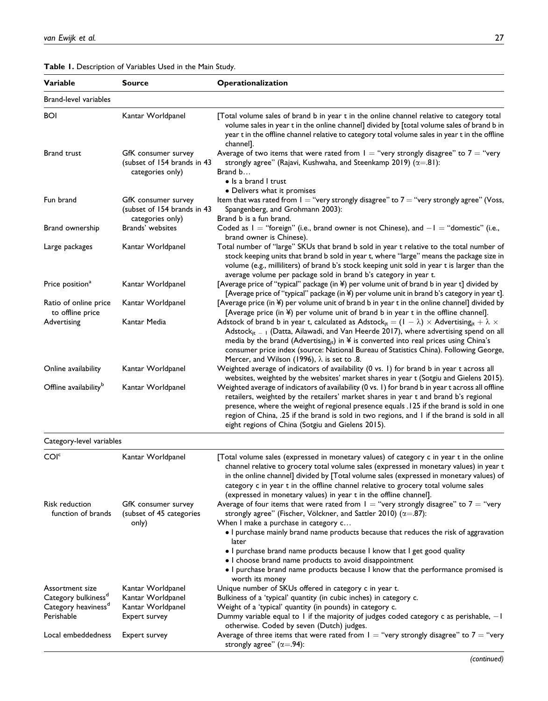| Table 1. Description of Variables Used in the Main Study. |  |  |  |
|-----------------------------------------------------------|--|--|--|
|-----------------------------------------------------------|--|--|--|

| Variable                                  | <b>Source</b>                                                          | Operationalization                                                                                                                                                                                                                                                                                                                                                                                                                                                                                                                    |
|-------------------------------------------|------------------------------------------------------------------------|---------------------------------------------------------------------------------------------------------------------------------------------------------------------------------------------------------------------------------------------------------------------------------------------------------------------------------------------------------------------------------------------------------------------------------------------------------------------------------------------------------------------------------------|
| <b>Brand-level variables</b>              |                                                                        |                                                                                                                                                                                                                                                                                                                                                                                                                                                                                                                                       |
| <b>BOI</b>                                | Kantar Worldpanel                                                      | [Total volume sales of brand b in year t in the online channel relative to category total<br>volume sales in year t in the online channel] divided by [total volume sales of brand b in<br>year t in the offline channel relative to category total volume sales in year t in the offline<br>channel].                                                                                                                                                                                                                                |
| Brand trust                               | GfK consumer survey<br>(subset of 154 brands in 43<br>categories only) | Average of two items that were rated from $I = "very strongly disagree"$ to $I = "very$<br>strongly agree" (Rajavi, Kushwaha, and Steenkamp 2019) ( $\alpha = .81$ ):<br>Brand b<br>• Is a brand I trust<br>• Delivers what it promises                                                                                                                                                                                                                                                                                               |
| Fun brand                                 | GfK consumer survey<br>(subset of 154 brands in 43<br>categories only) | Item that was rated from $I = "very strongly disagree"$ to $7 = "very strongly agree"$ (Voss,<br>Spangenberg, and Grohmann 2003):<br>Brand b is a fun brand.                                                                                                                                                                                                                                                                                                                                                                          |
| Brand ownership                           | Brands' websites                                                       | Coded as $I =$ "foreign" (i.e., brand owner is not Chinese), and $-I =$ "domestic" (i.e.,<br>brand owner is Chinese).                                                                                                                                                                                                                                                                                                                                                                                                                 |
| Large packages                            | Kantar Worldpanel                                                      | Total number of "large" SKUs that brand b sold in year t relative to the total number of<br>stock keeping units that brand b sold in year t, where "large" means the package size in<br>volume (e.g., milliliters) of brand b's stock keeping unit sold in year t is larger than the<br>average volume per package sold in brand b's category in year t.                                                                                                                                                                              |
| Price position <sup>a</sup>               | Kantar Worldpanel                                                      | [Average price of "typical" package (in ¥) per volume unit of brand b in year t] divided by<br>[Average price of "typical" package (in ¥) per volume unit in brand b's category in year t].                                                                                                                                                                                                                                                                                                                                           |
| Ratio of online price<br>to offline price | Kantar Worldpanel                                                      | [Average price (in ¥) per volume unit of brand b in year t in the online channel] divided by<br>[Average price (in ¥) per volume unit of brand b in year t in the offline channel].                                                                                                                                                                                                                                                                                                                                                   |
| Advertising                               | Kantar Media                                                           | Adstock of brand b in year t, calculated as Adstock <sub>jt</sub> = $(1 - \lambda) \times$ Advertising <sub>it</sub> + $\lambda \times$<br>Adstock <sub>it - 1</sub> (Datta, Ailawadi, and Van Heerde 2017), where advertising spend on all<br>media by the brand (Advertising <sub>it</sub> ) in ¥ is converted into real prices using China's<br>consumer price index (source: National Bureau of Statistics China). Following George,<br>Mercer, and Wilson (1996), $\lambda$ is set to .8.                                        |
| Online availability                       | Kantar Worldpanel                                                      | Weighted average of indicators of availability (0 vs. 1) for brand b in year t across all<br>websites, weighted by the websites' market shares in year t (Sotgiu and Gielens 2015).                                                                                                                                                                                                                                                                                                                                                   |
| Offline availability <sup>b</sup>         | Kantar Worldpanel                                                      | Weighted average of indicators of availability (0 vs. 1) for brand b in year t across all offline<br>retailers, weighted by the retailers' market shares in year t and brand b's regional<br>presence, where the weight of regional presence equals .125 if the brand is sold in one<br>region of China, .25 if the brand is sold in two regions, and I if the brand is sold in all<br>eight regions of China (Sotgiu and Gielens 2015).                                                                                              |
| Category-level variables                  |                                                                        |                                                                                                                                                                                                                                                                                                                                                                                                                                                                                                                                       |
| COI <sup>c</sup>                          | Kantar Worldpanel                                                      | [Total volume sales (expressed in monetary values) of category c in year t in the online<br>channel relative to grocery total volume sales (expressed in monetary values) in year t<br>in the online channel] divided by [Total volume sales (expressed in monetary values) of<br>category c in year t in the offline channel relative to grocery total volume sales<br>(expressed in monetary values) in year t in the offline channel].                                                                                             |
| Risk reduction<br>function of brands      | GfK consumer survey<br>(subset of 45 categories<br>only)               | Average of four items that were rated from $I = "very strongly disagree"$ to $7 = "very$<br>strongly agree" (Fischer, Völckner, and Sattler 2010) ( $\alpha$ =.87):<br>When I make a purchase in category c<br>• I purchase mainly brand name products because that reduces the risk of aggravation<br>later<br>• I purchase brand name products because I know that I get good quality<br>• I choose brand name products to avoid disappointment<br>. I purchase brand name products because I know that the performance promised is |
| Accortmont ciza                           | Kantar Worldpanel                                                      | worth its money<br>Unique number of SKUs offered in category c in year t                                                                                                                                                                                                                                                                                                                                                                                                                                                              |

Assortment size Kantar Worldpanel Unique number of SKUs offered in category c in year t.

Category bulkiness<sup>d</sup> Kantar Worldpanel Bulkiness of a 'typical' quantity (in cubic inches) in category c.<br>Category heaviness<sup>d</sup> Kantar Worldpanel Weight of a 'typical' quantity (in pounds) in category c.

Category heaviness<sup>d</sup> Kantar Worldpanel Weight of a 'typical' quantity (in pounds) in category c.<br>Perishable expert survey Dummy variable equal to 1 if the majority of judges coor Perishable Expert survey Dummy variable equal to 1 if the majority of judges coded category c as perishable, -1 otherwise. Coded by seven (Dutch) judges.

(continued)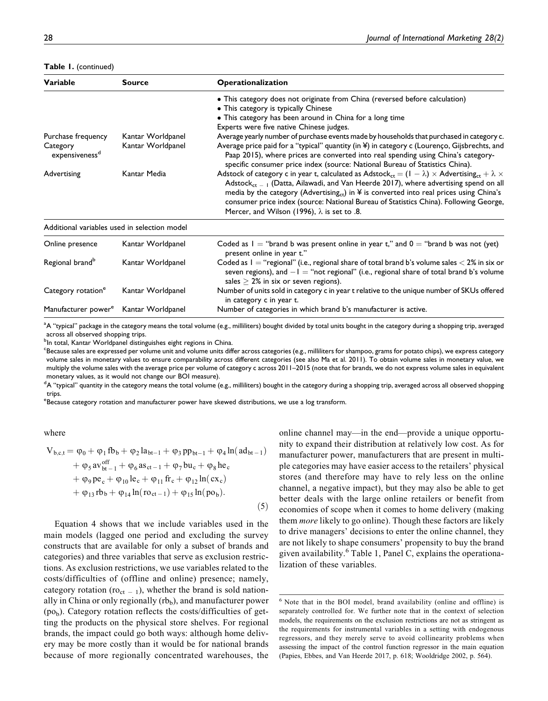Table 1. (continued)

| Variable                                     | <b>Source</b>     | Operationalization                                                                                                                                                                                                                                                                                                                                                                                                                                                                                   |
|----------------------------------------------|-------------------|------------------------------------------------------------------------------------------------------------------------------------------------------------------------------------------------------------------------------------------------------------------------------------------------------------------------------------------------------------------------------------------------------------------------------------------------------------------------------------------------------|
|                                              |                   | • This category does not originate from China (reversed before calculation)                                                                                                                                                                                                                                                                                                                                                                                                                          |
|                                              |                   | • This category is typically Chinese                                                                                                                                                                                                                                                                                                                                                                                                                                                                 |
|                                              |                   | • This category has been around in China for a long time                                                                                                                                                                                                                                                                                                                                                                                                                                             |
|                                              |                   | Experts were five native Chinese judges.                                                                                                                                                                                                                                                                                                                                                                                                                                                             |
| Purchase frequency                           | Kantar Worldpanel | Average yearly number of purchase events made by households that purchased in category c.                                                                                                                                                                                                                                                                                                                                                                                                            |
| Category<br>expensiveness <sup>d</sup>       | Kantar Worldpanel | Average price paid for a "typical" quantity (in \#) in category c (Lourenço, Gijsbrechts, and<br>Paap 2015), where prices are converted into real spending using China's category-<br>specific consumer price index (source: National Bureau of Statistics China).                                                                                                                                                                                                                                   |
| Advertising                                  | Kantar Media      | Adstock of category c in year t, calculated as Adstock <sub>ct</sub> = $(1 - \lambda) \times$ Advertising <sub>ct</sub> + $\lambda \times$<br>Adstock <sub>ct - 1</sub> (Datta, Ailawadi, and Van Heerde 2017), where advertising spend on all<br>media by the category (Advertising <sub>ct</sub> ) in ¥ is converted into real prices using China's<br>consumer price index (source: National Bureau of Statistics China). Following George,<br>Mercer, and Wilson (1996), $\lambda$ is set to .8. |
| Additional variables used in selection model |                   |                                                                                                                                                                                                                                                                                                                                                                                                                                                                                                      |
| Online presence                              | Kantar Worldpanel | Coded as $I = "brand b was present online in year t," and 0 = "brand b was not (yet)$<br>present online in year t."                                                                                                                                                                                                                                                                                                                                                                                  |
| Regional brand <sup>b</sup>                  | Kantar Worldpanel | Coded as $I = "regional"$ (i.e., regional share of total brand b's volume sales $< 2\%$ in six or<br>seven regions), and $-1 =$ "not regional" (i.e., regional share of total brand b's volume<br>sales $> 2\%$ in six or seven regions).                                                                                                                                                                                                                                                            |
| Category rotation <sup>e</sup>               | Kantar Worldpanel | Number of units sold in category c in year t relative to the unique number of SKUs offered<br>in category c in year t.                                                                                                                                                                                                                                                                                                                                                                               |
| Manufacturer power <sup>e</sup>              | Kantar Worldpanel | Number of categories in which brand b's manufacturer is active.                                                                                                                                                                                                                                                                                                                                                                                                                                      |

<sup>a</sup>A "typical" package in the category means the total volume (e.g., milliliters) bought divided by total units bought in the category during a shopping trip, averaged across all observed shopping trips.

<sup>b</sup>In total, Kantar Worldpanel distinguishes eight regions in China.

<sup>c</sup>Because sales are expressed per volume unit and volume units differ across categories (e.g., milliliters for shampoo, grams for potato chips), we express category volume sales in monetary values to ensure comparability across different categories (see also Ma et al. 2011). To obtain volume sales in monetary value, we multiply the volume sales with the average price per volume of category c across 2011–2015 (note that for brands, we do not express volume sales in equivalent monetary values, as it would not change our BOI measure).

<sup>d</sup>A "typical" quantity in the category means the total volume (e.g., milliliters) bought in the category during a shopping trip, averaged across all observed shopping trips.

e Because category rotation and manufacturer power have skewed distributions, we use a log transform.

where

$$
V_{b,c,t} = \varphi_0 + \varphi_1 fb_b + \varphi_2 la_{bt-1} + \varphi_3 pp_{bt-1} + \varphi_4 ln(ad_{bt-1}) + \varphi_5 av_{bt-1}^{off} + \varphi_6 as_{ct-1} + \varphi_7 bu_c + \varphi_8 he_c + \varphi_9 pe_c + \varphi_{10} le_c + \varphi_{11} fr_c + \varphi_{12} ln(cx_c) + \varphi_{13} rb_b + \varphi_{14} ln(ro_{ct-1}) + \varphi_{15} ln(po_b).
$$
\n(5)

Equation 4 shows that we include variables used in the main models (lagged one period and excluding the survey constructs that are available for only a subset of brands and categories) and three variables that serve as exclusion restrictions. As exclusion restrictions, we use variables related to the costs/difficulties of (offline and online) presence; namely, category rotation (ro<sub>ct  $= 1$ </sub>), whether the brand is sold nationally in China or only regionally  $(rb_b)$ , and manufacturer power  $(po<sub>b</sub>)$ . Category rotation reflects the costs/difficulties of getting the products on the physical store shelves. For regional brands, the impact could go both ways: although home delivery may be more costly than it would be for national brands because of more regionally concentrated warehouses, the online channel may—in the end—provide a unique opportunity to expand their distribution at relatively low cost. As for manufacturer power, manufacturers that are present in multiple categories may have easier access to the retailers' physical stores (and therefore may have to rely less on the online channel, a negative impact), but they may also be able to get better deals with the large online retailers or benefit from economies of scope when it comes to home delivery (making them *more* likely to go online). Though these factors are likely to drive managers' decisions to enter the online channel, they are not likely to shape consumers' propensity to buy the brand given availability. $6$  Table 1, Panel C, explains the operationalization of these variables.

<sup>6</sup> Note that in the BOI model, brand availability (online and offline) is separately controlled for. We further note that in the context of selection models, the requirements on the exclusion restrictions are not as stringent as the requirements for instrumental variables in a setting with endogenous regressors, and they merely serve to avoid collinearity problems when assessing the impact of the control function regressor in the main equation (Papies, Ebbes, and Van Heerde 2017, p. 618; Wooldridge 2002, p. 564).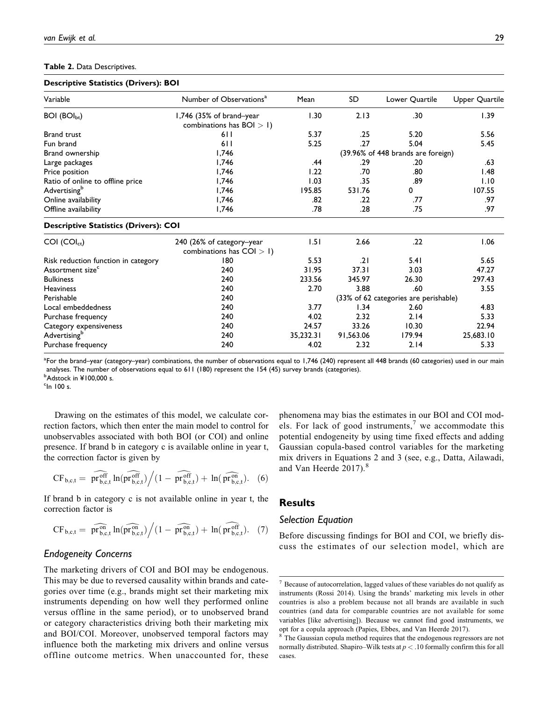#### Table 2. Data Descriptives.

#### Descriptive Statistics (Drivers): BOI

| Variable                                     | Number of Observations <sup>a</sup>                      | Mean   | SD                                 | Lower Quartile | Upper Quartile |  |
|----------------------------------------------|----------------------------------------------------------|--------|------------------------------------|----------------|----------------|--|
| BOI (BOI <sub>bt</sub> )                     | 1,746 (35% of brand-year<br>combinations has $BOI > I$ ) | 1.30   | 2.13                               | .30            | 1.39           |  |
| <b>Brand trust</b>                           | 611                                                      | 5.37   | .25                                | 5.20           | 5.56           |  |
| Fun brand                                    | 611                                                      | 5.25   | .27                                | 5.04           | 5.45           |  |
| Brand ownership                              | 1,746                                                    |        | (39.96% of 448 brands are foreign) |                |                |  |
| Large packages                               | 1.746                                                    | .44    | .29                                | .20            | .63            |  |
| Price position                               | 1,746                                                    | 1.22   | .70                                | .80            | 1.48           |  |
| Ratio of online to offline price             | 1,746                                                    | 1.03   | .35                                | .89            | 1.10           |  |
| Advertising <sup>b</sup>                     | 1.746                                                    | 195.85 | 531.76                             | 0              | 107.55         |  |
| Online availability                          | 1,746                                                    | .82    | .22                                | .77            | .97            |  |
| Offline availability                         | 1,746                                                    | .78    | .28                                | .75            | .97            |  |
| <b>Descriptive Statistics (Drivers): COI</b> |                                                          |        |                                    |                |                |  |

| $COI (COI_{cr})$                    | 240 (26% of category-year<br>combinations has $COI > I$ ) | 1.51      | 2.66      | .22                                   | 06. ا     |
|-------------------------------------|-----------------------------------------------------------|-----------|-----------|---------------------------------------|-----------|
| Risk reduction function in category | 180                                                       | 5.53      | ا 2.      | 5.41                                  | 5.65      |
| Assortment size <sup>c</sup>        | 240                                                       | 31.95     | 37.31     | 3.03                                  | 47.27     |
| <b>Bulkiness</b>                    | 240                                                       | 233.56    | 345.97    | 26.30                                 | 297.43    |
| <b>Heaviness</b>                    | 240                                                       | 2.70      | 3.88      | .60                                   | 3.55      |
| Perishable                          | 240                                                       |           |           | (33% of 62 categories are perishable) |           |
| Local embeddedness                  | 240                                                       | 3.77      | 1.34      | 2.60                                  | 4.83      |
| Purchase frequency                  | 240                                                       | 4.02      | 2.32      | 2.14                                  | 5.33      |
| Category expensiveness              | 240                                                       | 24.57     | 33.26     | 10.30                                 | 22.94     |
| Advertising <sup>p</sup>            | 240                                                       | 35,232.31 | 91,563.06 | 179.94                                | 25,683.10 |
| Purchase frequency                  | 240                                                       | 4.02      | 2.32      | 2.14                                  | 5.33      |

<sup>a</sup>For the brand–year (category–year) combinations, the number of observations equal to 1,746 (240) represent all 448 brands (60 categories) used in our main analyses. The number of observations equal to 611 (180) represent the 154 (45) survey brands (categories). b<br>Adstock in ¥100,000 s.

 $\degree$ In 100 s.

Drawing on the estimates of this model, we calculate correction factors, which then enter the main model to control for unobservables associated with both BOI (or COI) and online presence. If brand b in category c is available online in year t, the correction factor is given by

$$
CF_{b,c,t} = \widehat{\text{pr}_{b,c,t}^{\text{off}}} \ln(\widehat{\text{pr}_{b,c,t}^{\text{off}}}) \Big/ (1 - \widehat{\text{pr}_{b,c,t}^{\text{off}}}) + \ln(\widehat{\text{pr}_{b,c,t}^{\text{on}}}). \quad (6)
$$

If brand b in category c is not available online in year t, the correction factor is

$$
CF_{b,c,t} = \widehat{pr_{b,c,t}^{\text{on}}} \ln(\widehat{pr_{b,c,t}^{\text{on}}}) \Big/ (1 - \widehat{pr_{b,c,t}^{\text{on}}}) + \ln(\widehat{pr_{b,c,t}^{\text{off}}}). \quad (7)
$$

### Endogeneity Concerns

The marketing drivers of COI and BOI may be endogenous. This may be due to reversed causality within brands and categories over time (e.g., brands might set their marketing mix instruments depending on how well they performed online versus offline in the same period), or to unobserved brand or category characteristics driving both their marketing mix and BOI/COI. Moreover, unobserved temporal factors may influence both the marketing mix drivers and online versus offline outcome metrics. When unaccounted for, these phenomena may bias the estimates in our BOI and COI models. For lack of good instruments,<sup>7</sup> we accommodate this potential endogeneity by using time fixed effects and adding Gaussian copula-based control variables for the marketing mix drivers in Equations 2 and 3 (see, e.g., Datta, Ailawadi, and Van Heerde 2017).<sup>8</sup>

# **Results**

### Selection Equation

Before discussing findings for BOI and COI, we briefly discuss the estimates of our selection model, which are

 $7$  Because of autocorrelation, lagged values of these variables do not qualify as instruments (Rossi 2014). Using the brands' marketing mix levels in other countries is also a problem because not all brands are available in such countries (and data for comparable countries are not available for some variables [like advertising]). Because we cannot find good instruments, we opt for a copula approach (Papies, Ebbes, and Van Heerde 2017).

<sup>8</sup> The Gaussian copula method requires that the endogenous regressors are not normally distributed. Shapiro–Wilk tests at  $p < 0.10$  formally confirm this for all cases.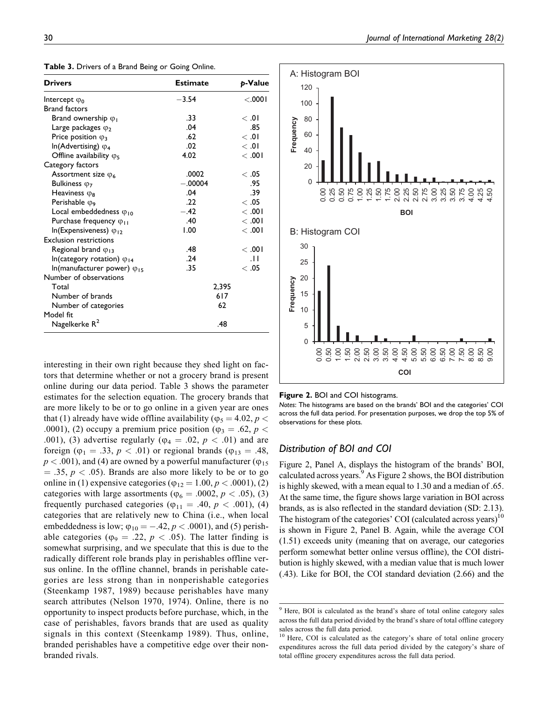Table 3. Drivers of a Brand Being or Going Online.

| <b>Drivers</b>                        | <b>Estimate</b> | p-Value    |
|---------------------------------------|-----------------|------------|
| Intercept $\varphi_0$                 | $-3.54$         | $<$ .000 l |
| <b>Brand factors</b>                  |                 |            |
| Brand ownership $\varphi_1$           | .33             | < 0.01     |
| Large packages $\varphi_2$            | .04             | .85        |
| Price position $\varphi_3$            | .62             | < 0.01     |
| In(Advertising) $\varphi_4$           | .02             | < 0.01     |
| Offline availability $\varphi_5$      | 4.02            | <.001      |
| Category factors                      |                 |            |
| Assortment size $\varphi_6$           | .0002           | <.05       |
| Bulkiness $\varphi_7$                 | $-.00004$       | .95        |
| Heaviness $\varphi_8$                 | .04             | .39        |
| Perishable φ <sub>9</sub>             | .22             | <.05       |
| Local embeddedness $\varphi_{10}$     | $-.42$          | <.001      |
| Purchase frequency $\varphi_{11}$     | .40             | <.001      |
| In(Expensiveness) $\varphi_{12}$      | 1.00            | <.001      |
| <b>Exclusion restrictions</b>         |                 |            |
| Regional brand $\varphi_{13}$         | .48             | <.001      |
| In(category rotation) $\varphi_{14}$  | .24             | .11        |
| In(manufacturer power) $\varphi_{15}$ | .35             | <.05       |
| Number of observations                |                 |            |
| Total                                 | 2.395           |            |
| Number of brands                      | 617             |            |
| Number of categories                  | 62              |            |
| Model fit                             |                 |            |
| Nagelkerke R <sup>2</sup>             | .48             |            |

interesting in their own right because they shed light on factors that determine whether or not a grocery brand is present online during our data period. Table 3 shows the parameter estimates for the selection equation. The grocery brands that are more likely to be or to go online in a given year are ones that (1) already have wide offline availability ( $\varphi$ <sub>5</sub> = 4.02, *p* < .0001), (2) occupy a premium price position ( $\varphi_3 = .62$ ,  $p <$ .001), (3) advertise regularly ( $\varphi_4 = .02, p < .01$ ) and are foreign ( $\varphi_1 = .33, p < .01$ ) or regional brands ( $\varphi_{13} = .48,$  $p < .001$ ), and (4) are owned by a powerful manufacturer ( $\varphi_{15}$  $= .35, p < .05$ ). Brands are also more likely to be or to go online in (1) expensive categories ( $\varphi_{12} = 1.00, p < .0001$ ), (2) categories with large assortments ( $\varphi_6 = .0002, p < .05$ ), (3) frequently purchased categories ( $\varphi_{11} = .40, p < .001$ ), (4) categories that are relatively new to China (i.e., when local embeddedness is low;  $\varphi_{10} = -.42, p < .0001$ ), and (5) perishable categories ( $\varphi$ <sup>9</sup> = .22, *p* < .05). The latter finding is somewhat surprising, and we speculate that this is due to the radically different role brands play in perishables offline versus online. In the offline channel, brands in perishable categories are less strong than in nonperishable categories (Steenkamp 1987, 1989) because perishables have many search attributes (Nelson 1970, 1974). Online, there is no opportunity to inspect products before purchase, which, in the case of perishables, favors brands that are used as quality signals in this context (Steenkamp 1989). Thus, online, branded perishables have a competitive edge over their nonbranded rivals.



Figure 2. BOI and COI histograms.

Notes: The histograms are based on the brands' BOI and the categories' COI across the full data period. For presentation purposes, we drop the top 5% of observations for these plots.

### Distribution of BOI and COI

Figure 2, Panel A, displays the histogram of the brands' BOI, calculated across years.9 As Figure 2 shows, the BOI distribution is highly skewed, with a mean equal to 1.30 and a median of .65. At the same time, the figure shows large variation in BOI across brands, as is also reflected in the standard deviation (SD: 2.13). The histogram of the categories' COI (calculated across years)<sup>10</sup> is shown in Figure 2, Panel B. Again, while the average COI (1.51) exceeds unity (meaning that on average, our categories perform somewhat better online versus offline), the COI distribution is highly skewed, with a median value that is much lower (.43). Like for BOI, the COI standard deviation (2.66) and the

<sup>9</sup> Here, BOI is calculated as the brand's share of total online category sales across the full data period divided by the brand's share of total offline category sales across the full data period.

<sup>&</sup>lt;sup>10</sup> Here, COI is calculated as the category's share of total online grocery expenditures across the full data period divided by the category's share of total offline grocery expenditures across the full data period.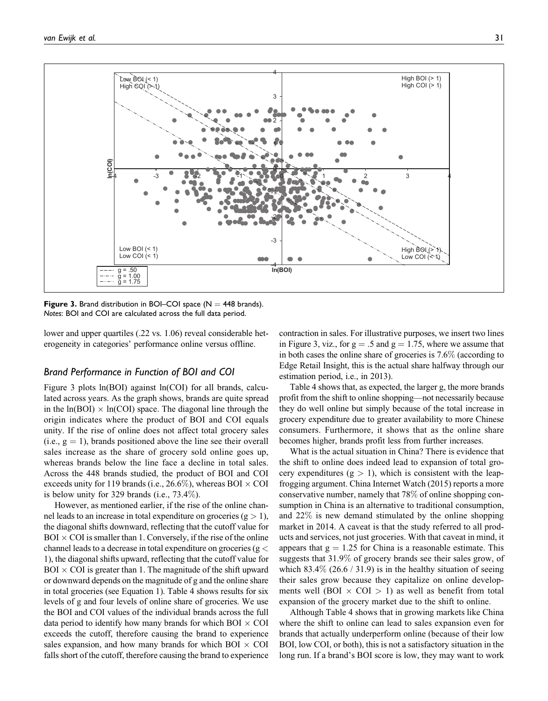

Figure 3. Brand distribution in BOI–COI space ( $N = 448$  brands). Notes: BOI and COI are calculated across the full data period.

lower and upper quartiles (.22 vs. 1.06) reveal considerable heterogeneity in categories' performance online versus offline.

### Brand Performance in Function of BOI and COI

Figure 3 plots ln(BOI) against ln(COI) for all brands, calculated across years. As the graph shows, brands are quite spread in the  $ln(BOI) \times ln(COI)$  space. The diagonal line through the origin indicates where the product of BOI and COI equals unity. If the rise of online does not affect total grocery sales (i.e.,  $g = 1$ ), brands positioned above the line see their overall sales increase as the share of grocery sold online goes up, whereas brands below the line face a decline in total sales. Across the 448 brands studied, the product of BOI and COI exceeds unity for 119 brands (i.e., 26.6%), whereas BOI  $\times$  COI is below unity for 329 brands (i.e., 73.4%).

However, as mentioned earlier, if the rise of the online channel leads to an increase in total expenditure on groceries ( $g > 1$ ), the diagonal shifts downward, reflecting that the cutoff value for  $BOL \times COI$  is smaller than 1. Conversely, if the rise of the online channel leads to a decrease in total expenditure on groceries (g < 1), the diagonal shifts upward, reflecting that the cutoff value for  $BOL \times COI$  is greater than 1. The magnitude of the shift upward or downward depends on the magnitude of g and the online share in total groceries (see Equation 1). Table 4 shows results for six levels of g and four levels of online share of groceries. We use the BOI and COI values of the individual brands across the full data period to identify how many brands for which  $BOI \times COI$ exceeds the cutoff, therefore causing the brand to experience sales expansion, and how many brands for which BOI  $\times$  COI falls short of the cutoff, therefore causing the brand to experience contraction in sales. For illustrative purposes, we insert two lines in Figure 3, viz., for  $g = .5$  and  $g = 1.75$ , where we assume that in both cases the online share of groceries is 7.6% (according to Edge Retail Insight, this is the actual share halfway through our estimation period, i.e., in 2013).

Table 4 shows that, as expected, the larger g, the more brands profit from the shift to online shopping—not necessarily because they do well online but simply because of the total increase in grocery expenditure due to greater availability to more Chinese consumers. Furthermore, it shows that as the online share becomes higher, brands profit less from further increases.

What is the actual situation in China? There is evidence that the shift to online does indeed lead to expansion of total grocery expenditures  $(g > 1)$ , which is consistent with the leapfrogging argument. China Internet Watch (2015) reports a more conservative number, namely that 78% of online shopping consumption in China is an alternative to traditional consumption, and 22% is new demand stimulated by the online shopping market in 2014. A caveat is that the study referred to all products and services, not just groceries. With that caveat in mind, it appears that  $g = 1.25$  for China is a reasonable estimate. This suggests that 31.9% of grocery brands see their sales grow, of which  $83.4\%$  (26.6 / 31.9) is in the healthy situation of seeing their sales grow because they capitalize on online developments well (BOI  $\times$  COI  $> 1$ ) as well as benefit from total expansion of the grocery market due to the shift to online.

Although Table 4 shows that in growing markets like China where the shift to online can lead to sales expansion even for brands that actually underperform online (because of their low BOI, low COI, or both), this is not a satisfactory situation in the long run. If a brand's BOI score is low, they may want to work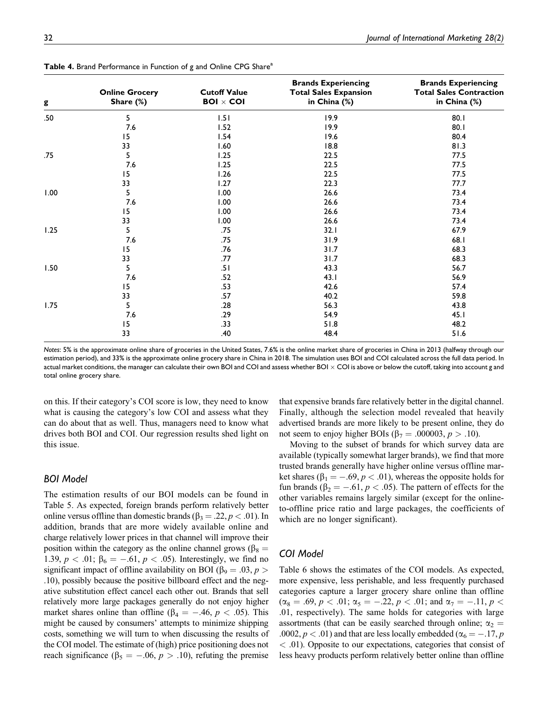| g    | <b>Online Grocery</b><br>Share (%) | <b>Cutoff Value</b><br><b>BOI</b> $\times$ COI | <b>Brands Experiencing</b><br><b>Total Sales Expansion</b><br>in China (%) | <b>Brands Experiencing</b><br><b>Total Sales Contraction</b><br>in China (%) |
|------|------------------------------------|------------------------------------------------|----------------------------------------------------------------------------|------------------------------------------------------------------------------|
| .50  | 5                                  | 1.51                                           | 19.9                                                                       | 80.1                                                                         |
|      | 7.6                                | 1.52                                           | 19.9                                                                       | 80.1                                                                         |
|      | 15                                 | 1.54                                           | 19.6                                                                       | 80.4                                                                         |
|      | 33                                 | 1.60                                           | 18.8                                                                       | 81.3                                                                         |
| .75  | 5                                  | 1.25                                           | 22.5                                                                       | 77.5                                                                         |
|      | 7.6                                | 1.25                                           | 22.5                                                                       | 77.5                                                                         |
|      | 15                                 | 1.26                                           | 22.5                                                                       | 77.5                                                                         |
|      | 33                                 | 1.27                                           | 22.3                                                                       | 77.7                                                                         |
| 1.00 | 5                                  | 1.00                                           | 26.6                                                                       | 73.4                                                                         |
|      | 7.6                                | 1.00                                           | 26.6                                                                       | 73.4                                                                         |
|      | 15                                 | 1.00                                           | 26.6                                                                       | 73.4                                                                         |
|      | 33                                 | 1.00                                           | 26.6                                                                       | 73.4                                                                         |
| 1.25 | 5                                  | .75                                            | 32.1                                                                       | 67.9                                                                         |
|      | 7.6                                | .75                                            | 31.9                                                                       | 68.1                                                                         |
|      | 15                                 | .76                                            | 31.7                                                                       | 68.3                                                                         |
|      | 33                                 | .77                                            | 31.7                                                                       | 68.3                                                                         |
| 1.50 | 5                                  | .51                                            | 43.3                                                                       | 56.7                                                                         |
|      | 7.6                                | .52                                            | 43.1                                                                       | 56.9                                                                         |
|      | 15                                 | .53                                            | 42.6                                                                       | 57.4                                                                         |
|      | 33                                 | .57                                            | 40.2                                                                       | 59.8                                                                         |
| 1.75 | 5                                  | .28                                            | 56.3                                                                       | 43.8                                                                         |
|      | 7.6                                | .29                                            | 54.9                                                                       | 45.1                                                                         |
|      | 15                                 | .33                                            | 51.8                                                                       | 48.2                                                                         |
|      | 33                                 | .40                                            | 48.4                                                                       | 51.6                                                                         |

Table 4. Brand Performance in Function of g and Online CPG Share<sup>a</sup>

Notes: 5% is the approximate online share of groceries in the United States, 7.6% is the online market share of groceries in China in 2013 (halfway through our estimation period), and 33% is the approximate online grocery share in China in 2018. The simulation uses BOI and COI calculated across the full data period. In actual market conditions, the manager can calculate their own BOI and COI and assess whether BOI  $\times$  COI is above or below the cutoff, taking into account g and total online grocery share.

on this. If their category's COI score is low, they need to know what is causing the category's low COI and assess what they can do about that as well. Thus, managers need to know what drives both BOI and COI. Our regression results shed light on this issue.

### BOI Model

The estimation results of our BOI models can be found in Table 5. As expected, foreign brands perform relatively better online versus offline than domestic brands ( $\beta_3 = .22, p < .01$ ). In addition, brands that are more widely available online and charge relatively lower prices in that channel will improve their position within the category as the online channel grows ( $\beta_8$  = 1.39,  $p < .01$ ;  $\beta_6 = -.61$ ,  $p < .05$ ). Interestingly, we find no significant impact of offline availability on BOI ( $\beta$ <sub>9</sub> = .03, *p* > .10), possibly because the positive billboard effect and the negative substitution effect cancel each other out. Brands that sell relatively more large packages generally do not enjoy higher market shares online than offline ( $\beta_4 = -.46, p < .05$ ). This might be caused by consumers' attempts to minimize shipping costs, something we will turn to when discussing the results of the COI model. The estimate of (high) price positioning does not reach significance ( $\beta_5 = -.06, p > .10$ ), refuting the premise

that expensive brands fare relatively better in the digital channel. Finally, although the selection model revealed that heavily advertised brands are more likely to be present online, they do not seem to enjoy higher BOIs ( $\beta$ <sub>7</sub> = .000003, *p* > .10).

Moving to the subset of brands for which survey data are available (typically somewhat larger brands), we find that more trusted brands generally have higher online versus offline market shares ( $\beta_1 = -.69, p < .01$ ), whereas the opposite holds for fun brands ( $\beta_2 = -.61, p < .05$ ). The pattern of effects for the other variables remains largely similar (except for the onlineto-offline price ratio and large packages, the coefficients of which are no longer significant).

### COI Model

Table 6 shows the estimates of the COI models. As expected, more expensive, less perishable, and less frequently purchased categories capture a larger grocery share online than offline  $(\alpha_8 = .69, p < .01; \alpha_5 = -.22, p < .01; \text{ and } \alpha_7 = -.11, p <$ .01, respectively). The same holds for categories with large assortments (that can be easily searched through online;  $\alpha_2$  = .0002,  $p < .01$ ) and that are less locally embedded ( $\alpha_6 = -.17, p$ < .01). Opposite to our expectations, categories that consist of less heavy products perform relatively better online than offline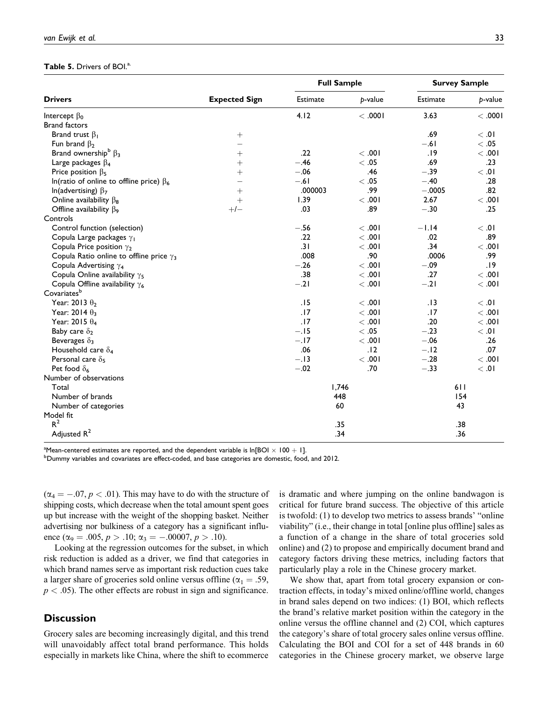### Table 5. Drivers of BOI.<sup>a.</sup>

|                                                 |                          |          | <b>Full Sample</b> |          | <b>Survey Sample</b> |  |
|-------------------------------------------------|--------------------------|----------|--------------------|----------|----------------------|--|
| <b>Drivers</b>                                  | <b>Expected Sign</b>     | Estimate | b-value            | Estimate | b-value              |  |
| Intercept $\beta_0$                             |                          | 4.12     | <.0001             | 3.63     | < 0.001              |  |
| <b>Brand factors</b>                            |                          |          |                    |          |                      |  |
| Brand trust $\beta_1$                           | $^{+}$                   |          |                    | .69      | < 0.01               |  |
| Fun brand $\beta_2$                             |                          |          |                    | $-.61$   | < .05                |  |
| Brand ownership <sup>b</sup> $\beta_3$          | $+$                      | .22      | < .001             | .19      | < 0.01               |  |
| Large packages $\beta_4$                        | $^{+}$                   | $-.46$   | < .05              | .69      | .23                  |  |
| Price position $\beta_5$                        | $^{+}$                   | $-.06$   | .46                | $-.39$   | < 0.01               |  |
| In(ratio of online to offline price) $\beta_6$  | $\overline{\phantom{0}}$ | $-.61$   | < .05              | $-.40$   | .28                  |  |
| In(advertising) $\beta_7$                       | $^{+}$                   | .000003  | .99                | $-.0005$ | .82                  |  |
| Online availability $\beta_8$                   | $+$                      | 1.39     | <.001              | 2.67     | < .001               |  |
| Offline availability $\beta_9$                  | $+/-$                    | .03      | .89                | $-.30$   | .25                  |  |
| Controls                                        |                          |          |                    |          |                      |  |
| Control function (selection)                    |                          | $-.56$   | < .001             | $-1.14$  | < 0.01               |  |
| Copula Large packages $\gamma_1$                |                          | .22      | < .001             | .02      | .89                  |  |
| Copula Price position $\gamma_2$                |                          | .31      | <.001              | .34      | < .001               |  |
| Copula Ratio online to offline price $\gamma_3$ |                          | .008     | .90                | .0006    | .99                  |  |
| Copula Advertising $\gamma_4$                   |                          | $-.26$   | < 0.01             | $-.09$   | 9۱.                  |  |
| Copula Online availability $\gamma_5$           |                          | .38      | < .001             | .27      | 100. >               |  |
| Copula Offline availability $\gamma_6$          |                          | $-.21$   | < .001             | $-.21$   | < 0.01               |  |
| Covariatesb                                     |                          |          |                    |          |                      |  |
| Year: 2013 $\theta_2$                           |                          | .15      | < .001             | . 13     | < 0.01               |  |
| Year: 2014 $\theta_3$                           |                          | .17      | < .001             | .17      | < .001               |  |
| Year: 2015 $\theta_4$                           |                          | .17      | < .001             | .20      | < .001               |  |
| Baby care $\delta_2$                            |                          | $-.15$   | < .05              | $-.23$   | < 0.01               |  |
| Beverages $\delta_3$                            |                          | $-.17$   | <.001              | $-.06$   | .26                  |  |
| Household care $\delta_4$                       |                          | .06      | .12                | $-.12$   | .07                  |  |
| Personal care $\delta_5$                        |                          | $-.13$   | < .001             | $-.28$   | < 0.01               |  |
| Pet food $\delta_6$                             |                          | $-.02$   | .70                | $-.33$   | < 0.01               |  |
| Number of observations                          |                          |          |                    |          |                      |  |
| Total                                           |                          | 1,746    |                    | 611      |                      |  |
| Number of brands                                |                          | 448      |                    | 154      |                      |  |
| Number of categories                            |                          | 60       |                    | 43       |                      |  |
| Model fit                                       |                          |          |                    |          |                      |  |
| $R^2$                                           |                          | .35      |                    |          | .38                  |  |
| Adjusted $R^2$                                  |                          | .34      |                    |          | .36                  |  |

<sup>a</sup> Mean-centered estimates are reported, and the dependent variable is ln[BOI  $\times$  100  $+$  1].<br><sup>b</sup> Dummy variables and soveriates are effect soded, and base categories are domestic food

<sup>b</sup>Dummy variables and covariates are effect-coded, and base categories are domestic, food, and 2012.

 $(\alpha_4 = -.07, p < .01)$ . This may have to do with the structure of shipping costs, which decrease when the total amount spent goes up but increase with the weight of the shopping basket. Neither advertising nor bulkiness of a category has a significant influence ( $\alpha_9 = .005, p > .10; \alpha_3 = -.00007, p > .10$ ).

Looking at the regression outcomes for the subset, in which risk reduction is added as a driver, we find that categories in which brand names serve as important risk reduction cues take a larger share of groceries sold online versus offline ( $\alpha_1 = .59$ ,  $p < .05$ ). The other effects are robust in sign and significance.

### **Discussion**

Grocery sales are becoming increasingly digital, and this trend will unavoidably affect total brand performance. This holds especially in markets like China, where the shift to ecommerce is dramatic and where jumping on the online bandwagon is critical for future brand success. The objective of this article is twofold: (1) to develop two metrics to assess brands' "online viability" (i.e., their change in total [online plus offline] sales as a function of a change in the share of total groceries sold online) and (2) to propose and empirically document brand and category factors driving these metrics, including factors that particularly play a role in the Chinese grocery market.

We show that, apart from total grocery expansion or contraction effects, in today's mixed online/offline world, changes in brand sales depend on two indices: (1) BOI, which reflects the brand's relative market position within the category in the online versus the offline channel and (2) COI, which captures the category's share of total grocery sales online versus offline. Calculating the BOI and COI for a set of 448 brands in 60 categories in the Chinese grocery market, we observe large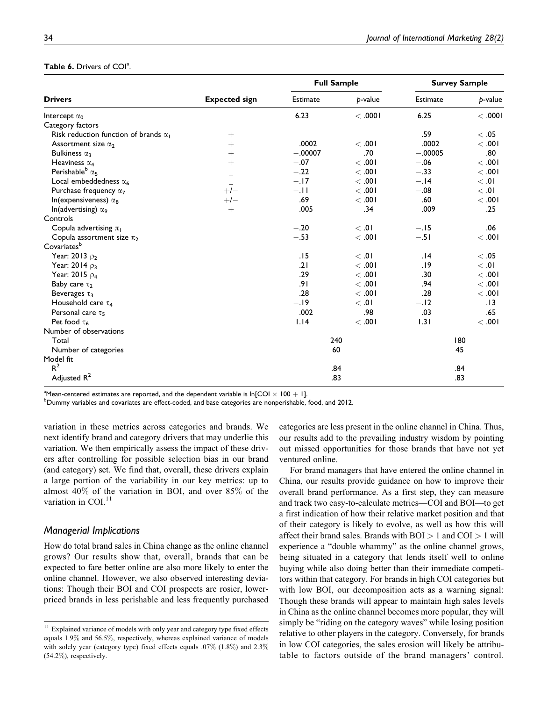| Table 6. Drivers of COI <sup>a</sup> . |  |
|----------------------------------------|--|
|----------------------------------------|--|

|                                              |                      | <b>Full Sample</b> |         | <b>Survey Sample</b> |         |
|----------------------------------------------|----------------------|--------------------|---------|----------------------|---------|
| <b>Drivers</b>                               | <b>Expected sign</b> | Estimate           | b-value | Estimate             | b-value |
| Intercept $\alpha_0$                         |                      | 6.23               | < .0001 | 6.25                 | < .0001 |
| Category factors                             |                      |                    |         |                      |         |
| Risk reduction function of brands $\alpha_1$ | $^{+}$               |                    |         | .59                  | < 0.05  |
| Assortment size $\alpha_2$                   | $+$                  | .0002              | < .001  | .0002                | < .001  |
| Bulkiness $\alpha_3$                         | $^{+}$               | $-.00007$          | .70     | $-.00005$            | .80     |
| Heaviness $\alpha_4$                         | $^{+}$               | $-.07$             | < .001  | $-.06$               | < .001  |
| Perishable <sup>b</sup> $\alpha_5$           |                      | $-.22$             | < .001  | $-.33$               | < .001  |
| Local embeddedness $\alpha_6$                |                      | $-.17$             | < .001  | $-.14$               | < 0.01  |
| Purchase frequency $\alpha_7$                | $+/-$                | $-.11$             | < .001  | $-.08$               | 10. >   |
| In(expensiveness) $\alpha_8$                 | $+/-$                | .69                | < 0.01  | .60                  | < .001  |
| In(advertising) $\alpha$ <sub>9</sub>        | $^{+}$               | .005               | .34     | .009                 | .25     |
| Controls                                     |                      |                    |         |                      |         |
| Copula advertising $\pi_1$                   |                      | $-.20$             | < 0.01  | $-.15$               | .06     |
| Copula assortment size $\pi_2$               |                      | $-.53$             | < 0.01  | $-.51$               | < .001  |
| Covariatesb                                  |                      |                    |         |                      |         |
| Year: $2013$ $p_2$                           |                      | .15                | < 0.01  | 14.                  | < .05   |
| Year: $2014 p_3$                             |                      | .21                | < .001  | .19                  | 10. >   |
| Year: 2015 $\rho_4$                          |                      | .29                | < .001  | .30                  | < 0.01  |
| Baby care $\tau_2$                           |                      | .91                | < 0.01  | .94                  | < 0.01  |
| Beverages $\tau_3$                           |                      | .28                | < .001  | .28                  | < .001  |
| Household care $\tau_4$                      |                      | $-.19$             | < 0.01  | $-.12$               | .13     |
| Personal care $\tau$ <sub>5</sub>            |                      | .002               | .98     | .03                  | .65     |
| Pet food $\tau_6$                            |                      | 1.14               | < .001  | 1.31                 | < .001  |
| Number of observations                       |                      |                    |         |                      |         |
| Total                                        |                      | 240                |         |                      | 180     |
| Number of categories                         |                      | 60                 |         | 45                   |         |
| Model fit                                    |                      |                    |         |                      |         |
| $R^2$                                        |                      | .84                |         |                      | .84     |
| Adjusted R <sup>2</sup>                      |                      | .83                |         |                      | .83     |

<sup>a</sup> Mean-centered estimates are reported, and the dependent variable is  $ln[CO1 \times 100 + 1]$ .<br><sup>b</sup> Dummy variables and covariates are effect-coded, and base categories are nonperishable.

<sup>b</sup>Dummy variables and covariates are effect-coded, and base categories are nonperishable, food, and 2012.

variation in these metrics across categories and brands. We next identify brand and category drivers that may underlie this variation. We then empirically assess the impact of these drivers after controlling for possible selection bias in our brand (and category) set. We find that, overall, these drivers explain a large portion of the variability in our key metrics: up to almost 40% of the variation in BOI, and over 85% of the variation in COI.<sup>11</sup>

### Managerial Implications

How do total brand sales in China change as the online channel grows? Our results show that, overall, brands that can be expected to fare better online are also more likely to enter the online channel. However, we also observed interesting deviations: Though their BOI and COI prospects are rosier, lowerpriced brands in less perishable and less frequently purchased categories are less present in the online channel in China. Thus, our results add to the prevailing industry wisdom by pointing out missed opportunities for those brands that have not yet ventured online.

For brand managers that have entered the online channel in China, our results provide guidance on how to improve their overall brand performance. As a first step, they can measure and track two easy-to-calculate metrics—COI and BOI—to get a first indication of how their relative market position and that of their category is likely to evolve, as well as how this will affect their brand sales. Brands with  $BOI > 1$  and  $COI > 1$  will experience a "double whammy" as the online channel grows, being situated in a category that lends itself well to online buying while also doing better than their immediate competitors within that category. For brands in high COI categories but with low BOI, our decomposition acts as a warning signal: Though these brands will appear to maintain high sales levels in China as the online channel becomes more popular, they will simply be "riding on the category waves" while losing position relative to other players in the category. Conversely, for brands in low COI categories, the sales erosion will likely be attributable to factors outside of the brand managers' control.

<sup>&</sup>lt;sup>11</sup> Explained variance of models with only year and category type fixed effects equals 1.9% and 56.5%, respectively, whereas explained variance of models with solely year (category type) fixed effects equals .07% (1.8%) and 2.3% (54.2%), respectively.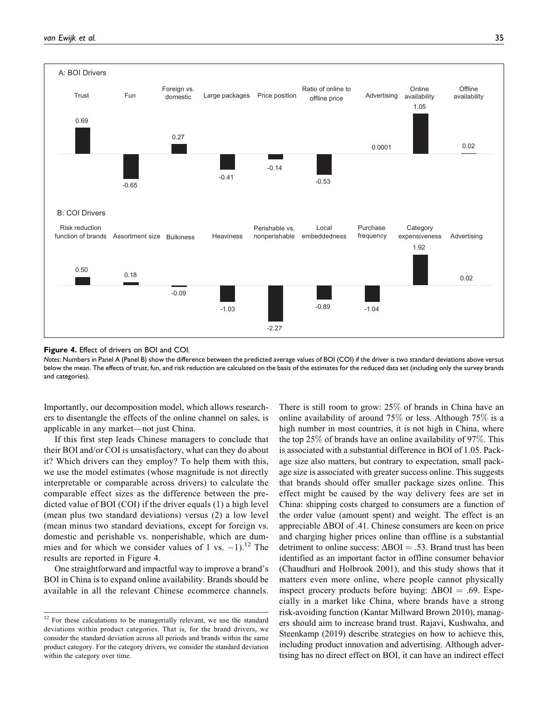

Figure 4. Effect of drivers on BOI and COI.

Notes: Numbers in Panel A (Panel B) show the difference between the predicted average values of BOI (COI) if the driver is two standard deviations above versus below the mean. The effects of trust, fun, and risk reduction are calculated on the basis of the estimates for the reduced data set (including only the survey brands and categories).

Importantly, our decomposition model, which allows researchers to disentangle the effects of the online channel on sales, is applicable in any market—not just China.

If this first step leads Chinese managers to conclude that their BOI and/or COI is unsatisfactory, what can they do about it? Which drivers can they employ? To help them with this, we use the model estimates (whose magnitude is not directly interpretable or comparable across drivers) to calculate the comparable effect sizes as the difference between the predicted value of BOI (COI) if the driver equals (1) a high level (mean plus two standard deviations) versus (2) a low level (mean minus two standard deviations, except for foreign vs. domestic and perishable vs. nonperishable, which are dummies and for which we consider values of 1 vs.  $-1$ ).<sup>12</sup> The results are reported in Figure 4.

One straightforward and impactful way to improve a brand's BOI in China is to expand online availability. Brands should be available in all the relevant Chinese ecommerce channels.

There is still room to grow: 25% of brands in China have an online availability of around 75% or less. Although 75% is a high number in most countries, it is not high in China, where the top 25% of brands have an online availability of 97%. This is associated with a substantial difference in BOI of 1.05. Package size also matters, but contrary to expectation, small package size is associated with greater success online. This suggests that brands should offer smaller package sizes online. This effect might be caused by the way delivery fees are set in China: shipping costs charged to consumers are a function of the order value (amount spent) and weight. The effect is an appreciable  $\Delta$ BOI of .41. Chinese consumers are keen on price and charging higher prices online than offline is a substantial detriment to online success:  $\Delta BOI = .53$ . Brand trust has been identified as an important factor in offline consumer behavior (Chaudhuri and Holbrook 2001), and this study shows that it matters even more online, where people cannot physically inspect grocery products before buying:  $\Delta$ BOI = .69. Especially in a market like China, where brands have a strong risk-avoiding function (Kantar Millward Brown 2010), managers should aim to increase brand trust. Rajavi, Kushwaha, and Steenkamp (2019) describe strategies on how to achieve this, including product innovation and advertising. Although advertising has no direct effect on BOI, it can have an indirect effect

<sup>&</sup>lt;sup>12</sup> For these calculations to be managerially relevant, we use the standard deviations within product categories. That is, for the brand drivers, we consider the standard deviation across all periods and brands within the same product category. For the category drivers, we consider the standard deviation within the category over time.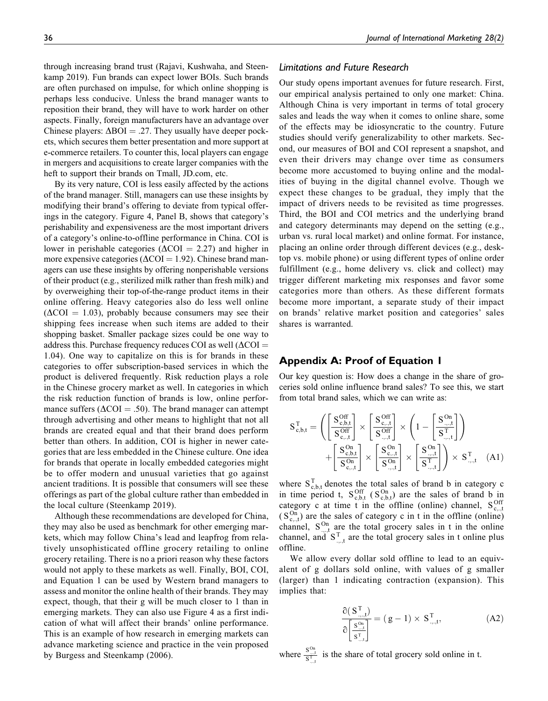through increasing brand trust (Rajavi, Kushwaha, and Steenkamp 2019). Fun brands can expect lower BOIs. Such brands are often purchased on impulse, for which online shopping is perhaps less conducive. Unless the brand manager wants to reposition their brand, they will have to work harder on other aspects. Finally, foreign manufacturers have an advantage over Chinese players:  $\Delta BOI = .27$ . They usually have deeper pockets, which secures them better presentation and more support at e-commerce retailers. To counter this, local players can engage in mergers and acquisitions to create larger companies with the heft to support their brands on Tmall, JD.com, etc.

By its very nature, COI is less easily affected by the actions of the brand manager. Still, managers can use these insights by modifying their brand's offering to deviate from typical offerings in the category. Figure 4, Panel B, shows that category's perishability and expensiveness are the most important drivers of a category's online-to-offline performance in China. COI is lower in perishable categories ( $\Delta COI = 2.27$ ) and higher in more expensive categories ( $\Delta COI = 1.92$ ). Chinese brand managers can use these insights by offering nonperishable versions of their product (e.g., sterilized milk rather than fresh milk) and by overweighing their top-of-the-range product items in their online offering. Heavy categories also do less well online  $(\Delta COI = 1.03)$ , probably because consumers may see their shipping fees increase when such items are added to their shopping basket. Smaller package sizes could be one way to address this. Purchase frequency reduces COI as well  $(\Delta COI =$ 1.04). One way to capitalize on this is for brands in these categories to offer subscription-based services in which the product is delivered frequently. Risk reduction plays a role in the Chinese grocery market as well. In categories in which the risk reduction function of brands is low, online performance suffers ( $\Delta COI = .50$ ). The brand manager can attempt through advertising and other means to highlight that not all brands are created equal and that their brand does perform better than others. In addition, COI is higher in newer categories that are less embedded in the Chinese culture. One idea for brands that operate in locally embedded categories might be to offer modern and unusual varieties that go against ancient traditions. It is possible that consumers will see these offerings as part of the global culture rather than embedded in the local culture (Steenkamp 2019).

Although these recommendations are developed for China, they may also be used as benchmark for other emerging markets, which may follow China's lead and leapfrog from relatively unsophisticated offline grocery retailing to online grocery retailing. There is no a priori reason why these factors would not apply to these markets as well. Finally, BOI, COI, and Equation 1 can be used by Western brand managers to assess and monitor the online health of their brands. They may expect, though, that their g will be much closer to 1 than in emerging markets. They can also use Figure 4 as a first indication of what will affect their brands' online performance. This is an example of how research in emerging markets can advance marketing science and practice in the vein proposed by Burgess and Steenkamp (2006).

### Limitations and Future Research

Our study opens important avenues for future research. First, our empirical analysis pertained to only one market: China. Although China is very important in terms of total grocery sales and leads the way when it comes to online share, some of the effects may be idiosyncratic to the country. Future studies should verify generalizability to other markets. Second, our measures of BOI and COI represent a snapshot, and even their drivers may change over time as consumers become more accustomed to buying online and the modalities of buying in the digital channel evolve. Though we expect these changes to be gradual, they imply that the impact of drivers needs to be revisited as time progresses. Third, the BOI and COI metrics and the underlying brand and category determinants may depend on the setting (e.g., urban vs. rural local market) and online format. For instance, placing an online order through different devices (e.g., desktop vs. mobile phone) or using different types of online order fulfillment (e.g., home delivery vs. click and collect) may trigger different marketing mix responses and favor some categories more than others. As these different formats become more important, a separate study of their impact on brands' relative market position and categories' sales shares is warranted.

# Appendix A: Proof of Equation 1

Our key question is: How does a change in the share of groceries sold online influence brand sales? To see this, we start from total brand sales, which we can write as:

$$
\begin{aligned} \boldsymbol{S}_{c,b,t}^T = \left(\left[\frac{\boldsymbol{S}_{c,b,t}^{Off}}{\boldsymbol{S}_{c,,t}^{Off}}\right] \times \left[\frac{\boldsymbol{S}_{c,,t}^{Off}}{\boldsymbol{S}_{.,,t}^{Off}}\right] \times \left(1 - \left[\frac{\boldsymbol{S}_{.,,t}^{On}}{\boldsymbol{S}_{.,,t}^T}\right]\right) \\ + \left[\frac{\boldsymbol{S}_{c,b,t}^{On}}{\boldsymbol{S}_{c,,t}^{On}}\right] \times \left[\frac{\boldsymbol{S}_{o,,t}^{On}}{\boldsymbol{S}_{.,,t}^{On}}\right] \times \left[\frac{\boldsymbol{S}_{.,,t}^{On}}{\boldsymbol{S}_{.,,t}^T}\right] \right) \times \boldsymbol{S}_{.,,t}^T \quad (A1) \end{aligned}
$$

where  $S_{c,b,t}^{T}$  denotes the total sales of brand b in category c in time period t,  $S_{c,b,t}^{\text{Off}}$  ( $S_{c,b,t}^{\text{On}}$ ) are the sales of brand b in category c at time t in the offline (online) channel,  $S_{c, t}^{Off}$  $(S_{c,,t}^{On})$  are the sales of category c in t in the offline (online) channel,  $S_{n,t}^{On}$  are the total grocery sales in t in the online channel, and  $S_{n,t}^T$  are the total grocery sales in t online plus offline.

We allow every dollar sold offline to lead to an equivalent of g dollars sold online, with values of g smaller (larger) than 1 indicating contraction (expansion). This implies that:

$$
\frac{\partial (S_{.,.,t}^{T})}{\partial \left[\frac{S_{.,st}^{(n)}}{S_{.,t}^{T}}\right]} = (g-1) \times S_{.,.,t}^{T},
$$
\n(A2)

where  $\frac{S_{\text{out}}^{\text{on}}}{S_{\text{out}}^{\text{r}}}$  is the share of total grocery sold online in t.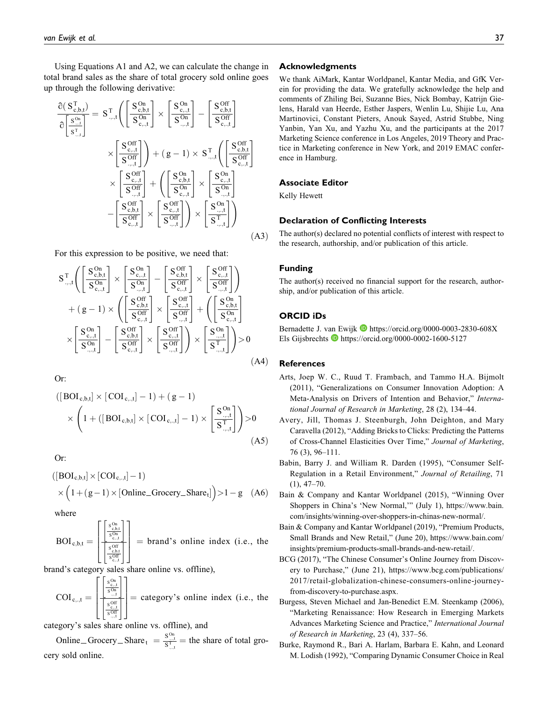Using Equations A1 and A2, we can calculate the change in total brand sales as the share of total grocery sold online goes up through the following derivative:

$$
\begin{aligned} \frac{\partial (\operatorname{\boldsymbol{S}}_{c,b,t}^{T})}{\partial\left[\frac{\operatorname{\boldsymbol{S}}_{c,b,t}^{O_{n}}}{\operatorname{\boldsymbol{S}}_{\ldots,t}^{O_{n}}} \right]} & = \operatorname{\boldsymbol{S}}_{\ldots,t}^{T}\!\left(\left[\frac{\operatorname{\boldsymbol{S}}_{c,b,t}^{O_{n}}}{\operatorname{\boldsymbol{S}}_{c,\ldots,t}^{O_{n}}}\right]\times\left[\frac{\operatorname{\boldsymbol{S}}_{c,b,t}^{O_{n}}}{\operatorname{\boldsymbol{S}}_{\ldots,t}^{O_{n}}}\right] - \left[\frac{\operatorname{\boldsymbol{S}}_{c,b,t}^{O_{f}}}{\operatorname{\boldsymbol{S}}_{c,\ldots,t}^{O_{f}}}\right] \\ & \times\left[\frac{\operatorname{\boldsymbol{S}}_{c,\ldots,t}^{O_{f}}}{\operatorname{\boldsymbol{S}}_{\ldots,t}^{O_{f}}}\right] + \left(\operatorname{\boldsymbol{g}}-1\right)\times\operatorname{\boldsymbol{S}}_{\ldots,t}^{T}\!\left(\left[\frac{\operatorname{\boldsymbol{S}}_{c,b,t}^{O_{f}}}{\operatorname{\boldsymbol{S}}_{c,\ldots,t}^{O_{f}}}\right] \\ & \times\left[\frac{\operatorname{\boldsymbol{S}}_{c,b,t}^{O_{f}}}{\operatorname{\boldsymbol{S}}_{\ldots,t}^{O_{f}}}\right] + \left(\left[\frac{\operatorname{\boldsymbol{S}}_{c,b,t}^{O_{n}}}{\operatorname{\boldsymbol{S}}_{c,\ldots,t}^{O_{n}}}\right]\times\left[\frac{\operatorname{\boldsymbol{S}}_{c,\ldots,t}^{O_{n}}}{\operatorname{\boldsymbol{S}}_{\ldots,t}^{O_{f}}}\right]\right) \\ & - \left[\frac{\operatorname{\boldsymbol{S}}_{c,b,t}^{O_{f}}}{\operatorname{\boldsymbol{S}}_{c,\ldots,t}^{O_{f}}}\right]\times\left[\frac{\operatorname{\boldsymbol{S}}_{c,\ldots,t}^{O_{f}}}{\operatorname{\boldsymbol{S}}_{\ldots,t}^{O_{f}}}\right] \right) \times\left[\frac{\operatorname{\boldsymbol{S}}_{\ldots,t}^{O_{n}}}{\operatorname{\boldsymbol{S}}_{\ldots,t}^{T}}\right] \end{aligned} \tag{A3}
$$

For this expression to be positive, we need that:

$$
\begin{aligned} S_{.,.,t}^T \Biggl( & \Biggl[ \frac{S_{c,b,t}^{On}}{S_{c,,,t}^{On}} \Biggr] \times \Biggl[ \frac{S_{c,,t}^{On}}{S_{.,.,t}^{On}} \Biggr] - \Biggl[ \frac{S_{c,b,t}^{Off}}{S_{c,,t}^{Off}} \Biggr] \times \Biggl[ \frac{S_{c,,t}^{Off}}{S_{.,.,t}^{Off}} \Biggr] \\ & + (g-1) \times \Biggl( \Biggl[ \frac{S_{c,b,t}^{Off}}{S_{c,,t}^{On}} \Biggr] \times \Biggl[ \frac{S_{c,,t}^{Off}}{S_{.,.,t}^{On}} \Biggr] + \Biggl( \Biggl[ \frac{S_{c,b,t}^{On}}{S_{c,,t}^{On}} \Biggr] \\ & \times \Biggl[ \frac{S_{c,,t}^{On}}{S_{.,.,t}^{On}} \Biggr] - \Biggl[ \frac{S_{c,b,t}^{Off}}{S_{c,,t}^{Off}} \Biggr] \times \Biggl[ \frac{S_{c,,t}^{Of}}{S_{.,,t}^{Off}} \Biggr] \Biggr) \times \Biggl[ \frac{S_{.,,t}^{On}}{S_{.,.,t}^{To}} \Biggr] \Biggr) > 0 \\ & (A4) \end{aligned}
$$

Or:

$$
\left(\left[\text{BOL}_{c,b,t}\right] \times \left[\text{COI}_{c,,t}\right] - 1\right) + \left(g - 1\right)
$$
\n
$$
\times \left(1 + \left(\left[\text{BOL}_{c,b,t}\right] \times \left[\text{COI}_{c,,t}\right] - 1\right) \times \left[\frac{S_{.,.,t}^{\text{On}}}{S_{.,.,t}^{\text{T}}}\right]\right) > 0\tag{A5}
$$

Or:

$$
\begin{aligned} & (\text{[BOI}_{c,b,t}] \times [\text{COI}_{c,.,t}] - 1) \\ & \times \left(1 + (g-1) \times [\text{Online\_Grocery\_Share}_t]\right) > 1 - g \quad \text{(A6)} \end{aligned}
$$

where

$$
BOI_{c,b,t} = \begin{bmatrix} \frac{s_{c,b,t}}{s_{c,t}} \\ \frac{s_{c,b,t}}{s_{c,t}} \\ \frac{s_{c,b,t}}{s_{c,t}} \end{bmatrix} = brand's online index (i.e., the
$$

brand's category sales share online vs. offline),

$$
COL_{c,,t} = \begin{bmatrix} \frac{s_{c,1}}{s_{c,1}} \\ \frac{s_{c,1}}{s_{c,1}} \\ \frac{s_{c,1}}{s_{c,1}} \end{bmatrix} = \text{category's online index (i.e., the}
$$

category's sales share online vs. offline), and

Online Grocery Share  $t = \frac{S_{\text{out}}^{S_{\text{out}}}}{S_{\text{out}}^{T}}$  = the share of total grocery sold online.

#### Acknowledgments

We thank AiMark, Kantar Worldpanel, Kantar Media, and GfK Verein for providing the data. We gratefully acknowledge the help and comments of Zhiling Bei, Suzanne Bies, Nick Bombay, Katrijn Gielens, Harald van Heerde, Esther Jaspers, Wenlin Lu, Shijie Lu, Ana Martinovici, Constant Pieters, Anouk Sayed, Astrid Stubbe, Ning Yanbin, Yan Xu, and Yazhu Xu, and the participants at the 2017 Marketing Science conference in Los Angeles, 2019 Theory and Practice in Marketing conference in New York, and 2019 EMAC conference in Hamburg.

### Associate Editor

Kelly Hewett

#### Declaration of Conflicting Interests

The author(s) declared no potential conflicts of interest with respect to the research, authorship, and/or publication of this article.

### Funding

The author(s) received no financial support for the research, authorship, and/or publication of this article.

#### ORCID iDs

Bernadette J. van Ewijk **b** <https://orcid.org/0000-0003-2830-608X> Els Gijsbrechts  $\blacksquare$  <https://orcid.org/0000-0002-1600-5127>

### References

- Arts, Joep W. C., Ruud T. Frambach, and Tammo H.A. Bijmolt (2011), "Generalizations on Consumer Innovation Adoption: A Meta-Analysis on Drivers of Intention and Behavior," International Journal of Research in Marketing, 28 (2), 134–44.
- Avery, Jill, Thomas J. Steenburgh, John Deighton, and Mary Caravella (2012), "Adding Bricks to Clicks: Predicting the Patterns of Cross-Channel Elasticities Over Time," Journal of Marketing, 76 (3), 96–111.
- Babin, Barry J. and William R. Darden (1995), "Consumer Self-Regulation in a Retail Environment," Journal of Retailing, 71  $(1), 47-70.$
- Bain & Company and Kantar Worldpanel (2015), "Winning Over Shoppers in China's 'New Normal,'" (July 1), [https://www.bain.](https://www.bain.com/insights/winning-over-shoppers-in-chinas-new-normal/) [com/insights/winning-over-shoppers-in-chinas-new-normal/.](https://www.bain.com/insights/winning-over-shoppers-in-chinas-new-normal/)
- Bain & Company and Kantar Worldpanel (2019), "Premium Products, Small Brands and New Retail," (June 20), [https://www.bain.com/](https://www.bain.com/insights/premium-products-small-brands-and-new-retail/) [insights/premium-products-small-brands-and-new-retail/](https://www.bain.com/insights/premium-products-small-brands-and-new-retail/).
- BCG (2017), "The Chinese Consumer's Online Journey from Discovery to Purchase," (June 21), [https://www.bcg.com/publications/](https://www.bcg.com/publications/2017/retail-globalization-chinese-consumers-online-journey-from-discovery-to-purchase.aspx) [2017/retail-globalization-chinese-consumers-online-journey](https://www.bcg.com/publications/2017/retail-globalization-chinese-consumers-online-journey-from-discovery-to-purchase.aspx)[from-discovery-to-purchase.aspx.](https://www.bcg.com/publications/2017/retail-globalization-chinese-consumers-online-journey-from-discovery-to-purchase.aspx)
- Burgess, Steven Michael and Jan-Benedict E.M. Steenkamp (2006), "Marketing Renaissance: How Research in Emerging Markets Advances Marketing Science and Practice," International Journal of Research in Marketing, 23 (4), 337–56.
- Burke, Raymond R., Bari A. Harlam, Barbara E. Kahn, and Leonard M. Lodish (1992), "Comparing Dynamic Consumer Choice in Real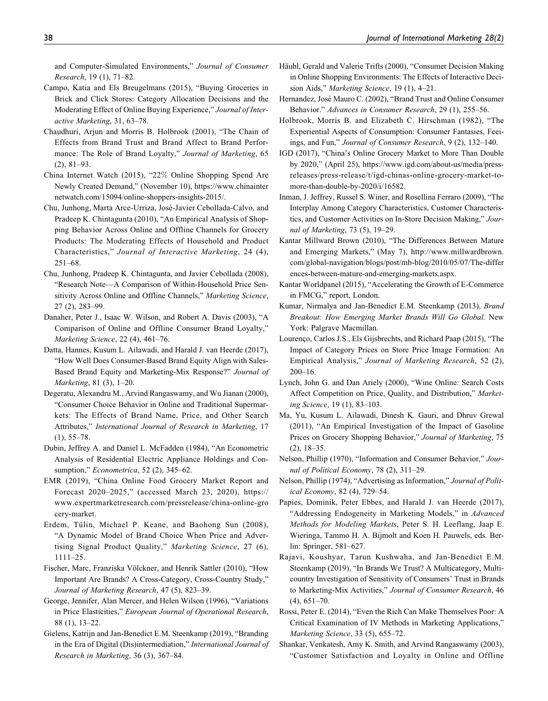and Computer-Simulated Environments," Journal of Consumer Research, 19 (1), 71–82.

- Campo, Katia and Els Breugelmans (2015), "Buying Groceries in Brick and Click Stores: Category Allocation Decisions and the Moderating Effect of Online Buying Experience," Journal of Interactive Marketing, 31, 63–78.
- Chaudhuri, Arjun and Morris B. Holbrook (2001), "The Chain of Effects from Brand Trust and Brand Affect to Brand Performance: The Role of Brand Loyalty," Journal of Marketing, 65 (2), 81–93.
- China Internet Watch (2015), "22% Online Shopping Spend Are Newly Created Demand," (November 10), [https://www.chinainter](https://www.chinainternetwatch.com/15094/online-shoppers-insights-2015/) [netwatch.com/15094/online-shoppers-insights-2015/](https://www.chinainternetwatch.com/15094/online-shoppers-insights-2015/).
- Chu, Junhong, Marta Arce-Urriza, José-Javier Cebollada-Calvo, and Pradeep K. Chintagunta (2010), "An Empirical Analysis of Shopping Behavior Across Online and Offline Channels for Grocery Products: The Moderating Effects of Household and Product Characteristics," Journal of Interactive Marketing, 24 (4), 251–68.
- Chu, Junhong, Pradeep K. Chintagunta, and Javier Cebollada (2008), "Research Note—A Comparison of Within-Household Price Sensitivity Across Online and Offline Channels," Marketing Science, 27 (2), 283–99.
- Danaher, Peter J., Isaac W. Wilson, and Robert A. Davis (2003), "A Comparison of Online and Offline Consumer Brand Loyalty," Marketing Science, 22 (4), 461–76.
- Datta, Hannes, Kusum L. Ailawadi, and Harald J. van Heerde (2017), "How Well Does Consumer-Based Brand Equity Align with Sales-Based Brand Equity and Marketing-Mix Response?" Journal of Marketing, 81 (3), 1–20.
- Degeratu, Alexandru M., Arvind Rangaswamy, and Wu Jianan (2000), "Consumer Choice Behavior in Online and Traditional Supermarkets: The Effects of Brand Name, Price, and Other Search Attributes," International Journal of Research in Marketing, 17 (1), 55–78.
- Dubin, Jeffrey A. and Daniel L. McFadden (1984), "An Econometric Analysis of Residential Electric Appliance Holdings and Consumption," *Econometrica*, 52 (2), 345–62.
- EMR (2019), "China Online Food Grocery Market Report and Forecast 2020–2025," (accessed March 23, 2020), [https://](https://www.expertmarketresearch.com/pressrelease/china-online-grocery-market) [www.expertmarketresearch.com/pressrelease/china-online-gro](https://www.expertmarketresearch.com/pressrelease/china-online-grocery-market) [cery-market](https://www.expertmarketresearch.com/pressrelease/china-online-grocery-market).
- Erdem, Tülin, Michael P. Keane, and Baohong Sun (2008), "A Dynamic Model of Brand Choice When Price and Advertising Signal Product Quality," Marketing Science, 27 (6), 1111–25.
- Fischer, Marc, Franziska Völckner, and Henrik Sattler (2010), "How Important Are Brands? A Cross-Category, Cross-Country Study," Journal of Marketing Research, 47 (5), 823–39.
- George, Jennifer, Alan Mercer, and Helen Wilson (1996), "Variations in Price Elasticities," European Journal of Operational Research, 88 (1), 13–22.
- Gielens, Katrijn and Jan-Benedict E.M. Steenkamp (2019), "Branding in the Era of Digital (Dis)intermediation," International Journal of Research in Marketing, 36 (3), 367–84.
- Häubl, Gerald and Valerie Trifts (2000), "Consumer Decision Making in Online Shopping Environments: The Effects of Interactive Decision Aids," Marketing Science, 19 (1), 4–21.
- Hernandez, José Mauro C. (2002), "Brand Trust and Online Consumer Behavior." Advances in Consumer Research, 29 (1), 255–56.
- Holbrook, Morris B. and Elizabeth C. Hirschman (1982), "The Experiential Aspects of Consumption: Consumer Fantasies, Feeiings, and Fun," Journal of Consumer Research, 9 (2), 132–140.
- IGD (2017), "China's Online Grocery Market to More Than Double by 2020," (April 25), [https://www.igd.com/about-us/media/press](https://www.igd.com/about-us/media/press-releases/press-release/t/igd-chinas-online-grocery-market-to-more-than-double-by-2020/i/16582)[releases/press-release/t/igd-chinas-online-grocery-market-to](https://www.igd.com/about-us/media/press-releases/press-release/t/igd-chinas-online-grocery-market-to-more-than-double-by-2020/i/16582)[more-than-double-by-2020/i/16582](https://www.igd.com/about-us/media/press-releases/press-release/t/igd-chinas-online-grocery-market-to-more-than-double-by-2020/i/16582).
- Inman, J. Jeffrey, Russel S. Winer, and Rosellina Ferraro (2009), "The Interplay Among Category Characteristics, Customer Characteristics, and Customer Activities on In-Store Decision Making," Journal of Marketing, 73 (5), 19–29.
- Kantar Millward Brown (2010), "The Differences Between Mature and Emerging Markets," (May 7), [http://www.millwardbrown.](http://www.millwardbrown.com/global-navigation/blogs/post/mb-blog/2010/05/07/The-differences-between-mature-and-emerging-markets.aspx) [com/global-navigation/blogs/post/mb-blog/2010/05/07/The-differ](http://www.millwardbrown.com/global-navigation/blogs/post/mb-blog/2010/05/07/The-differences-between-mature-and-emerging-markets.aspx) [ences-between-mature-and-emerging-markets.aspx.](http://www.millwardbrown.com/global-navigation/blogs/post/mb-blog/2010/05/07/The-differences-between-mature-and-emerging-markets.aspx)
- Kantar Worldpanel (2015), "Accelerating the Growth of E-Commerce in FMCG," report, London.
- Kumar, Nirmalya and Jan-Benedict E.M. Steenkamp (2013), Brand Breakout: How Emerging Market Brands Will Go Global. New York: Palgrave Macmillan.
- Lourenço, Carlos J.S., Els Gijsbrechts, and Richard Paap (2015), "The Impact of Category Prices on Store Price Image Formation: An Empirical Analysis," Journal of Marketing Research, 52 (2), 200–16.
- Lynch, John G. and Dan Ariely (2000), "Wine Online: Search Costs Affect Competition on Price, Quality, and Distribution," Marketing Science, 19 (1), 83–103.
- Ma, Yu, Kusum L. Ailawadi, Dinesh K. Gauri, and Dhruv Grewal (2011), "An Empirical Investigation of the Impact of Gasoline Prices on Grocery Shopping Behavior," Journal of Marketing, 75 (2), 18–35.
- Nelson, Phillip (1970), "Information and Consumer Behavior," Journal of Political Economy, 78 (2), 311–29.
- Nelson, Phillip (1974), "Advertising as Information," Journal of Political Economy, 82 (4), 729–54.
- Papies, Dominik, Peter Ebbes, and Harald J. van Heerde (2017), "Addressing Endogeneity in Marketing Models," in Advanced Methods for Modeling Markets, Peter S. H. Leeflang, Jaap E. Wieringa, Tammo H. A. Bijmolt and Koen H. Pauwels, eds. Berlin: Springer, 581–627.
- Rajavi, Koushyar, Tarun Kushwaha, and Jan-Benedict E.M. Steenkamp (2019), "In Brands We Trust? A Multicategory, Multicountry Investigation of Sensitivity of Consumers' Trust in Brands to Marketing-Mix Activities," Journal of Consumer Research, 46 (4), 651–70.
- Rossi, Peter E. (2014), "Even the Rich Can Make Themselves Poor: A Critical Examination of IV Methods in Marketing Applications," Marketing Science, 33 (5), 655–72.
- Shankar, Venkatesh, Amy K. Smith, and Arvind Rangaswamy (2003), "Customer Satisfaction and Loyalty in Online and Offline